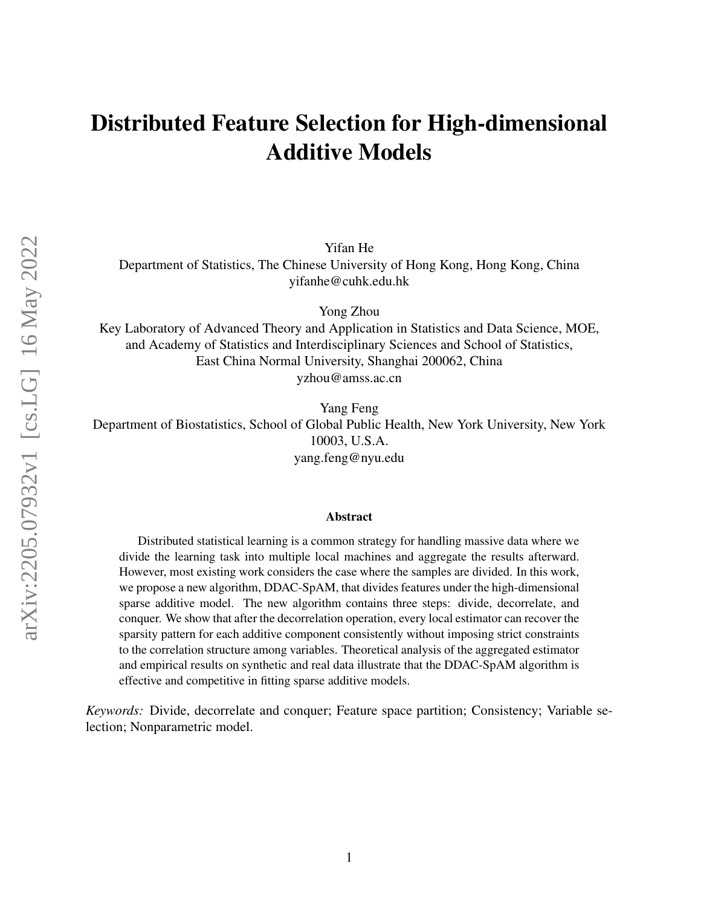## Distributed Feature Selection for High-dimensional Additive Models

Yifan He

Department of Statistics, The Chinese University of Hong Kong, Hong Kong, China yifanhe@cuhk.edu.hk

Yong Zhou

Key Laboratory of Advanced Theory and Application in Statistics and Data Science, MOE, and Academy of Statistics and Interdisciplinary Sciences and School of Statistics, East China Normal University, Shanghai 200062, China yzhou@amss.ac.cn

Yang Feng

Department of Biostatistics, School of Global Public Health, New York University, New York 10003, U.S.A. yang.feng@nyu.edu

#### Abstract

Distributed statistical learning is a common strategy for handling massive data where we divide the learning task into multiple local machines and aggregate the results afterward. However, most existing work considers the case where the samples are divided. In this work, we propose a new algorithm, DDAC-SpAM, that divides features under the high-dimensional sparse additive model. The new algorithm contains three steps: divide, decorrelate, and conquer. We show that after the decorrelation operation, every local estimator can recover the sparsity pattern for each additive component consistently without imposing strict constraints to the correlation structure among variables. Theoretical analysis of the aggregated estimator and empirical results on synthetic and real data illustrate that the DDAC-SpAM algorithm is effective and competitive in fitting sparse additive models.

*Keywords:* Divide, decorrelate and conquer; Feature space partition; Consistency; Variable selection; Nonparametric model.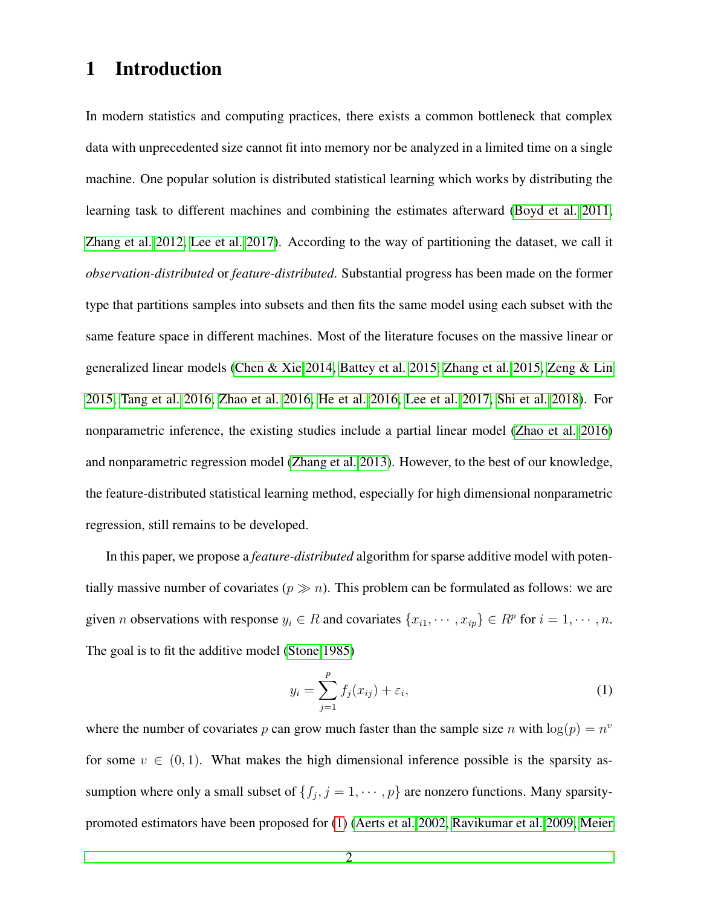### 1 Introduction

In modern statistics and computing practices, there exists a common bottleneck that complex data with unprecedented size cannot fit into memory nor be analyzed in a limited time on a single machine. One popular solution is distributed statistical learning which works by distributing the learning task to different machines and combining the estimates afterward [\(Boyd et al. 2011,](#page-34-0) [Zhang et al. 2012,](#page-39-0) [Lee et al. 2017\)](#page-36-0). According to the way of partitioning the dataset, we call it *observation-distributed* or *feature-distributed*. Substantial progress has been made on the former type that partitions samples into subsets and then fits the same model using each subset with the same feature space in different machines. Most of the literature focuses on the massive linear or generalized linear models [\(Chen & Xie 2014,](#page-35-0) [Battey et al. 2015,](#page-34-1) [Zhang et al. 2015,](#page-39-1) [Zeng & Lin](#page-39-2) [2015,](#page-39-2) [Tang et al. 2016,](#page-37-0) [Zhao et al. 2016,](#page-39-3) [He et al. 2016,](#page-35-1) [Lee et al. 2017,](#page-36-0) [Shi et al. 2018\)](#page-37-1). For nonparametric inference, the existing studies include a partial linear model [\(Zhao et al. 2016\)](#page-39-3) and nonparametric regression model [\(Zhang et al. 2013\)](#page-39-4). However, to the best of our knowledge, the feature-distributed statistical learning method, especially for high dimensional nonparametric regression, still remains to be developed.

In this paper, we propose a *feature-distributed* algorithm for sparse additive model with potentially massive number of covariates ( $p \gg n$ ). This problem can be formulated as follows: we are given *n* observations with response  $y_i \in R$  and covariates  $\{x_{i1}, \dots, x_{ip}\} \in R^p$  for  $i = 1, \dots, n$ . The goal is to fit the additive model [\(Stone 1985\)](#page-37-2)

<span id="page-1-0"></span>
$$
y_i = \sum_{j=1}^p f_j(x_{ij}) + \varepsilon_i,
$$
\n(1)

where the number of covariates p can grow much faster than the sample size n with  $log(p) = n^v$ for some  $v \in (0, 1)$ . What makes the high dimensional inference possible is the sparsity assumption where only a small subset of  $\{f_j, j = 1, \dots, p\}$  are nonzero functions. Many sparsitypromoted estimators have been proposed for [\(1\)](#page-1-0) [\(Aerts et al. 2002,](#page-34-2) [Ravikumar et al. 2009,](#page-37-3) [Meier](#page-36-1)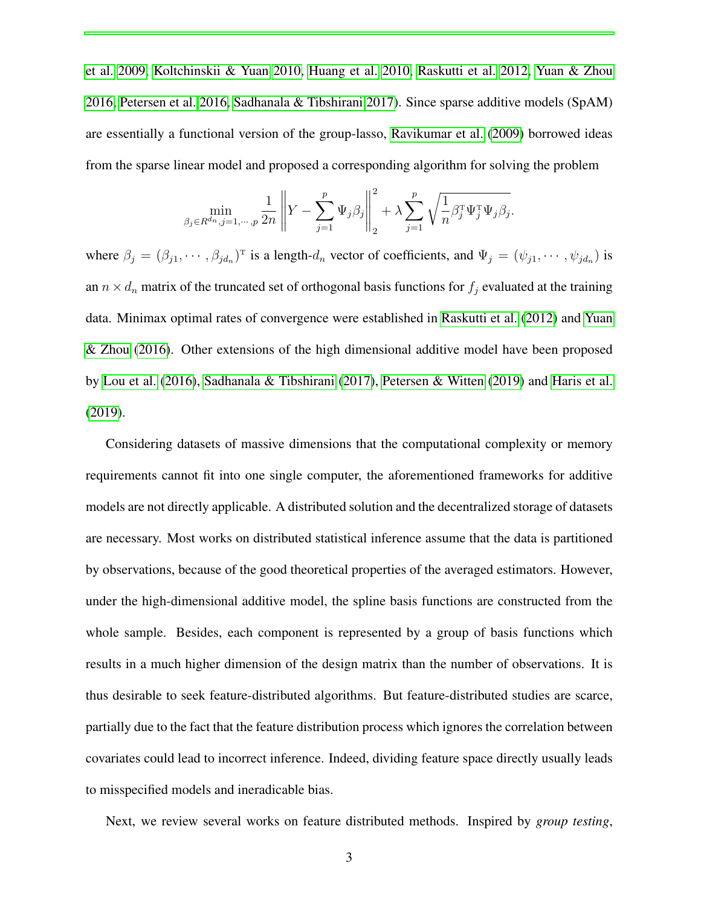[et al. 2009,](#page-36-1) [Koltchinskii & Yuan 2010,](#page-36-2) [Huang et al. 2010,](#page-36-3) [Raskutti et al. 2012,](#page-37-4) [Yuan & Zhou](#page-39-5) [2016,](#page-39-5) [Petersen et al. 2016,](#page-37-5) [Sadhanala & Tibshirani 2017\)](#page-37-6). Since sparse additive models (SpAM) are essentially a functional version of the group-lasso, [Ravikumar et al.](#page-37-3) [\(2009\)](#page-37-3) borrowed ideas from the sparse linear model and proposed a corresponding algorithm for solving the problem

$$
\min_{\beta_j \in R^{dn}, j=1,\cdots,p} \frac{1}{2n} \left\| Y - \sum_{j=1}^p \Psi_j \beta_j \right\|_2^2 + \lambda \sum_{j=1}^p \sqrt{\frac{1}{n} \beta_j^{\mathrm{T}} \Psi_j^{\mathrm{T}} \Psi_j \beta_j}.
$$

where  $\beta_j = (\beta_{j1}, \cdots, \beta_{jd_n})^T$  is a length- $d_n$  vector of coefficients, and  $\Psi_j = (\psi_{j1}, \cdots, \psi_{jd_n})$  is an  $n \times d_n$  matrix of the truncated set of orthogonal basis functions for  $f_j$  evaluated at the training data. Minimax optimal rates of convergence were established in [Raskutti et al.](#page-37-4) [\(2012\)](#page-37-4) and [Yuan](#page-39-5) [& Zhou](#page-39-5) [\(2016\)](#page-39-5). Other extensions of the high dimensional additive model have been proposed by [Lou et al.](#page-36-4) [\(2016\)](#page-36-4), [Sadhanala & Tibshirani](#page-37-6) [\(2017\)](#page-37-6), [Petersen & Witten](#page-36-5) [\(2019\)](#page-36-5) and [Haris et al.](#page-35-2) [\(2019\)](#page-35-2).

Considering datasets of massive dimensions that the computational complexity or memory requirements cannot fit into one single computer, the aforementioned frameworks for additive models are not directly applicable. A distributed solution and the decentralized storage of datasets are necessary. Most works on distributed statistical inference assume that the data is partitioned by observations, because of the good theoretical properties of the averaged estimators. However, under the high-dimensional additive model, the spline basis functions are constructed from the whole sample. Besides, each component is represented by a group of basis functions which results in a much higher dimension of the design matrix than the number of observations. It is thus desirable to seek feature-distributed algorithms. But feature-distributed studies are scarce, partially due to the fact that the feature distribution process which ignores the correlation between covariates could lead to incorrect inference. Indeed, dividing feature space directly usually leads to misspecified models and ineradicable bias.

Next, we review several works on feature distributed methods. Inspired by *group testing*,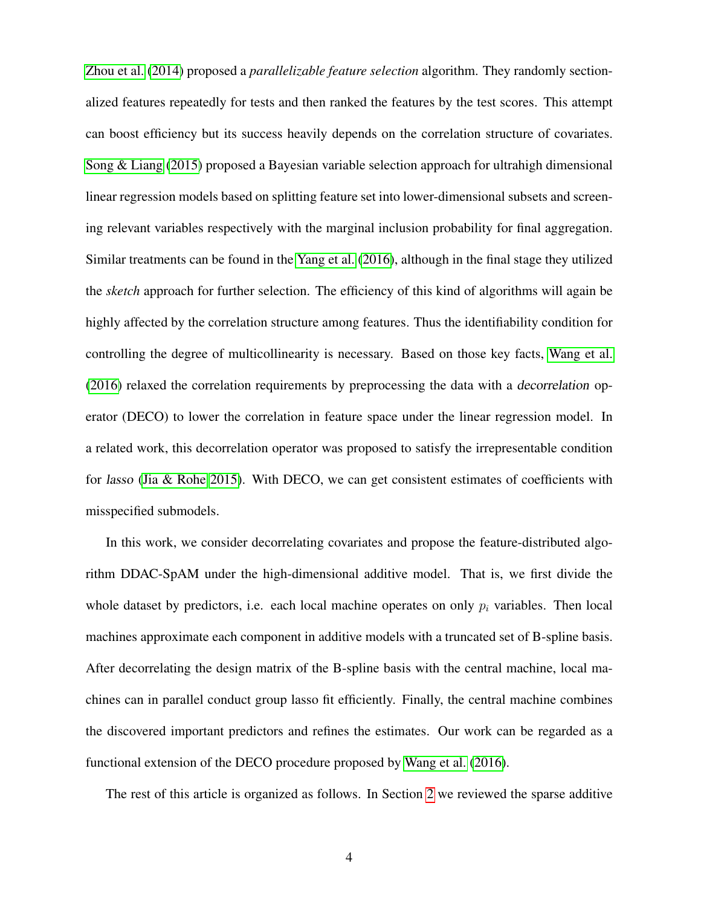[Zhou et al.](#page-39-6) [\(2014\)](#page-39-6) proposed a *parallelizable feature selection* algorithm. They randomly sectionalized features repeatedly for tests and then ranked the features by the test scores. This attempt can boost efficiency but its success heavily depends on the correlation structure of covariates. [Song & Liang](#page-37-7) [\(2015\)](#page-37-7) proposed a Bayesian variable selection approach for ultrahigh dimensional linear regression models based on splitting feature set into lower-dimensional subsets and screening relevant variables respectively with the marginal inclusion probability for final aggregation. Similar treatments can be found in the [Yang et al.](#page-38-0) [\(2016\)](#page-38-0), although in the final stage they utilized the *sketch* approach for further selection. The efficiency of this kind of algorithms will again be highly affected by the correlation structure among features. Thus the identifiability condition for controlling the degree of multicollinearity is necessary. Based on those key facts, [Wang et al.](#page-38-1) [\(2016\)](#page-38-1) relaxed the correlation requirements by preprocessing the data with a decorrelation operator (DECO) to lower the correlation in feature space under the linear regression model. In a related work, this decorrelation operator was proposed to satisfy the irrepresentable condition for lasso [\(Jia & Rohe 2015\)](#page-36-6). With DECO, we can get consistent estimates of coefficients with misspecified submodels.

In this work, we consider decorrelating covariates and propose the feature-distributed algorithm DDAC-SpAM under the high-dimensional additive model. That is, we first divide the whole dataset by predictors, i.e. each local machine operates on only  $p_i$  variables. Then local machines approximate each component in additive models with a truncated set of B-spline basis. After decorrelating the design matrix of the B-spline basis with the central machine, local machines can in parallel conduct group lasso fit efficiently. Finally, the central machine combines the discovered important predictors and refines the estimates. Our work can be regarded as a functional extension of the DECO procedure proposed by [Wang et al.](#page-38-1) [\(2016\)](#page-38-1).

The rest of this article is organized as follows. In Section [2](#page-4-0) we reviewed the sparse additive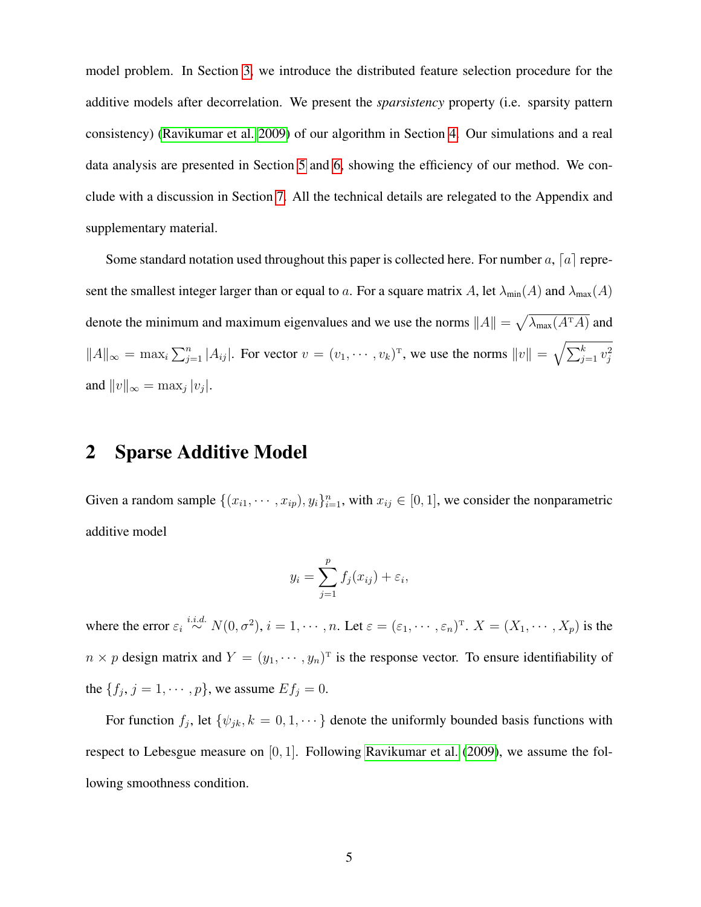model problem. In Section [3,](#page-7-0) we introduce the distributed feature selection procedure for the additive models after decorrelation. We present the *sparsistency* property (i.e. sparsity pattern consistency) [\(Ravikumar et al. 2009\)](#page-37-3) of our algorithm in Section [4.](#page-12-0) Our simulations and a real data analysis are presented in Section [5](#page-14-0) and [6,](#page-20-0) showing the efficiency of our method. We conclude with a discussion in Section [7.](#page-21-0) All the technical details are relegated to the Appendix and supplementary material.

Some standard notation used throughout this paper is collected here. For number  $a$ ,  $[a]$  represent the smallest integer larger than or equal to a. For a square matrix A, let  $\lambda_{min}(A)$  and  $\lambda_{max}(A)$ denote the minimum and maximum eigenvalues and we use the norms  $||A|| = \sqrt{\lambda_{\max}(A^T A)}$  and  $||A||_{\infty} = \max_{i} \sum_{j=1}^{n} |A_{ij}|$ . For vector  $v = (v_1, \dots, v_k)^T$ , we use the norms  $||v|| = \sqrt{\sum_{j=1}^{k} v_j^2}$ and  $||v||_{\infty} = \max_j |v_j|$ .

### <span id="page-4-0"></span>2 Sparse Additive Model

Given a random sample  $\{(x_{i1}, \dots, x_{ip}), y_i\}_{i=1}^n$ , with  $x_{ij} \in [0, 1]$ , we consider the nonparametric additive model

$$
y_i = \sum_{j=1}^p f_j(x_{ij}) + \varepsilon_i,
$$

where the error  $\varepsilon_i \stackrel{i.i.d.}{\sim} N(0, \sigma^2), i = 1, \cdots, n$ . Let  $\varepsilon = (\varepsilon_1, \cdots, \varepsilon_n)^{\mathrm{T}}$ .  $X = (X_1, \cdots, X_p)$  is the  $n \times p$  design matrix and  $Y = (y_1, \dots, y_n)^T$  is the response vector. To ensure identifiability of the  $\{f_j, j = 1, \dots, p\}$ , we assume  $Ef_j = 0$ .

<span id="page-4-1"></span>For function  $f_j$ , let  $\{\psi_{jk}, k = 0, 1, \dots\}$  denote the uniformly bounded basis functions with respect to Lebesgue measure on [0, 1]. Following [Ravikumar et al.](#page-37-3) [\(2009\)](#page-37-3), we assume the following smoothness condition.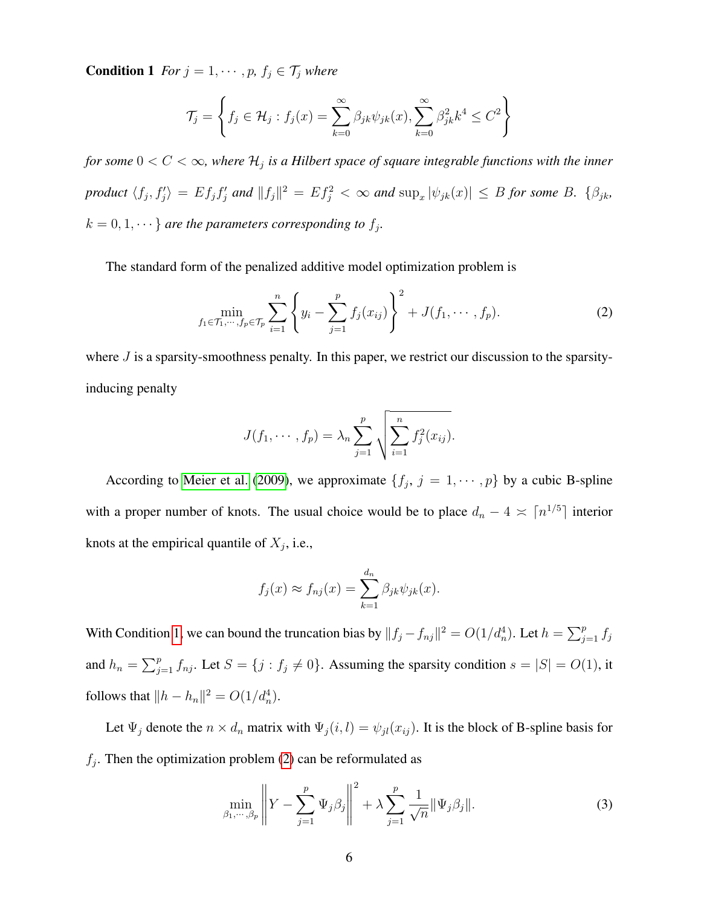**Condition 1** *For*  $j = 1, \dots, p$ *,*  $f_j \in \mathcal{T}_j$  *where* 

$$
\mathcal{T}_j = \left\{ f_j \in \mathcal{H}_j : f_j(x) = \sum_{k=0}^{\infty} \beta_{jk} \psi_{jk}(x), \sum_{k=0}^{\infty} \beta_{jk}^2 k^4 \le C^2 \right\}
$$

for some  $0 < C < \infty$ , where  $\mathcal{H}_j$  is a Hilbert space of square integrable functions with the inner *product*  $\langle f_j, f'_j \rangle = E f_j f'_j$  and  $||f_j||^2 = E f_j^2 < \infty$  and  $\sup_x |\psi_{jk}(x)| \leq B$  for some B.  $\{\beta_{jk},$  $k = 0, 1, \dots$ } are the parameters corresponding to  $f_j$ .

The standard form of the penalized additive model optimization problem is

$$
\min_{f_1 \in \mathcal{T}_1, \cdots, f_p \in \mathcal{T}_p} \sum_{i=1}^n \left\{ y_i - \sum_{j=1}^p f_j(x_{ij}) \right\}^2 + J(f_1, \cdots, f_p).
$$
 (2)

where  $J$  is a sparsity-smoothness penalty. In this paper, we restrict our discussion to the sparsityinducing penalty

<span id="page-5-0"></span>
$$
J(f_1, \dots, f_p) = \lambda_n \sum_{j=1}^p \sqrt{\sum_{i=1}^n f_j^2(x_{ij})}.
$$

According to [Meier et al.](#page-36-1) [\(2009\)](#page-36-1), we approximate  $\{f_j, j = 1, \dots, p\}$  by a cubic B-spline with a proper number of knots. The usual choice would be to place  $d_n - 4 \times \lceil n^{1/5} \rceil$  interior knots at the empirical quantile of  $X_j$ , i.e.,

$$
f_j(x) \approx f_{nj}(x) = \sum_{k=1}^{d_n} \beta_{jk} \psi_{jk}(x).
$$

With Condition [1,](#page-4-1) we can bound the truncation bias by  $||f_j - f_{nj}||^2 = O(1/d_n^4)$ . Let  $h = \sum_{j=1}^p f_j$ and  $h_n = \sum_{j=1}^p f_{nj}$ . Let  $S = \{j : f_j \neq 0\}$ . Assuming the sparsity condition  $s = |S| = O(1)$ , it follows that  $||h - h_n||^2 = O(1/d_n^4)$ .

Let  $\Psi_j$  denote the  $n \times d_n$  matrix with  $\Psi_j(i, l) = \psi_{jl}(x_{ij})$ . It is the block of B-spline basis for  $f_j$ . Then the optimization problem [\(2\)](#page-5-0) can be reformulated as

<span id="page-5-1"></span>
$$
\min_{\beta_1, \cdots, \beta_p} \left\| Y - \sum_{j=1}^p \Psi_j \beta_j \right\|^2 + \lambda \sum_{j=1}^p \frac{1}{\sqrt{n}} \|\Psi_j \beta_j\|.
$$
 (3)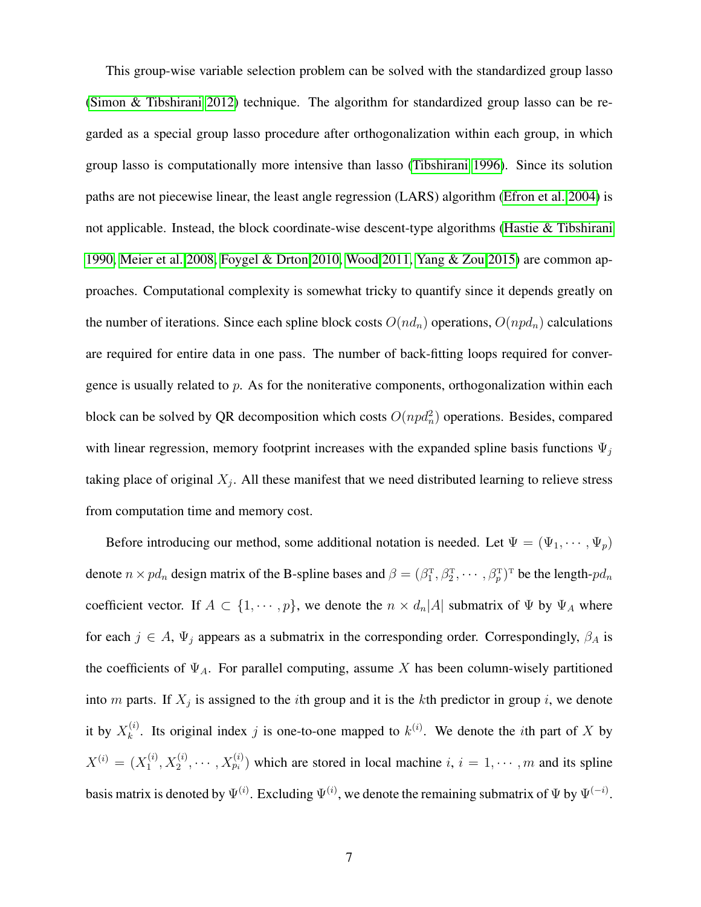This group-wise variable selection problem can be solved with the standardized group lasso [\(Simon & Tibshirani 2012\)](#page-37-8) technique. The algorithm for standardized group lasso can be regarded as a special group lasso procedure after orthogonalization within each group, in which group lasso is computationally more intensive than lasso [\(Tibshirani 1996\)](#page-38-2). Since its solution paths are not piecewise linear, the least angle regression (LARS) algorithm [\(Efron et al. 2004\)](#page-35-3) is not applicable. Instead, the block coordinate-wise descent-type algorithms [\(Hastie & Tibshirani](#page-35-4) [1990,](#page-35-4) [Meier et al. 2008,](#page-36-7) [Foygel & Drton 2010,](#page-35-5) [Wood 2011,](#page-38-3) [Yang & Zou 2015\)](#page-38-4) are common approaches. Computational complexity is somewhat tricky to quantify since it depends greatly on the number of iterations. Since each spline block costs  $O(nd_n)$  operations,  $O(npd_n)$  calculations are required for entire data in one pass. The number of back-fitting loops required for convergence is usually related to  $p$ . As for the noniterative components, orthogonalization within each block can be solved by QR decomposition which costs  $O(npd_n^2)$  operations. Besides, compared with linear regression, memory footprint increases with the expanded spline basis functions  $\Psi_i$ taking place of original  $X_j$ . All these manifest that we need distributed learning to relieve stress from computation time and memory cost.

Before introducing our method, some additional notation is needed. Let  $\Psi = (\Psi_1, \dots, \Psi_p)$ denote  $n \times pd_n$  design matrix of the B-spline bases and  $\beta = (\beta_1^T, \beta_2^T, \cdots, \beta_p^T)^T$  be the length- $pd_n$ coefficient vector. If  $A \subset \{1, \dots, p\}$ , we denote the  $n \times d_n |A|$  submatrix of  $\Psi$  by  $\Psi_A$  where for each  $j \in A$ ,  $\Psi_j$  appears as a submatrix in the corresponding order. Correspondingly,  $\beta_A$  is the coefficients of  $\Psi_A$ . For parallel computing, assume X has been column-wisely partitioned into m parts. If  $X_j$  is assigned to the *i*th group and it is the *k*th predictor in group *i*, we denote it by  $X_k^{(i)}$  $k^{(i)}$ . Its original index j is one-to-one mapped to  $k^{(i)}$ . We denote the *i*th part of X by  $X^{(i)} = (X_1^{(i)}$  $\mathcal{X}_1^{(i)}, X_2^{(i)}, \cdots, X_{p_i}^{(i)}$  which are stored in local machine  $i, i = 1, \cdots, m$  and its spline basis matrix is denoted by  $\Psi^{(i)}$ . Excluding  $\Psi^{(i)}$ , we denote the remaining submatrix of  $\Psi$  by  $\Psi^{(-i)}$ .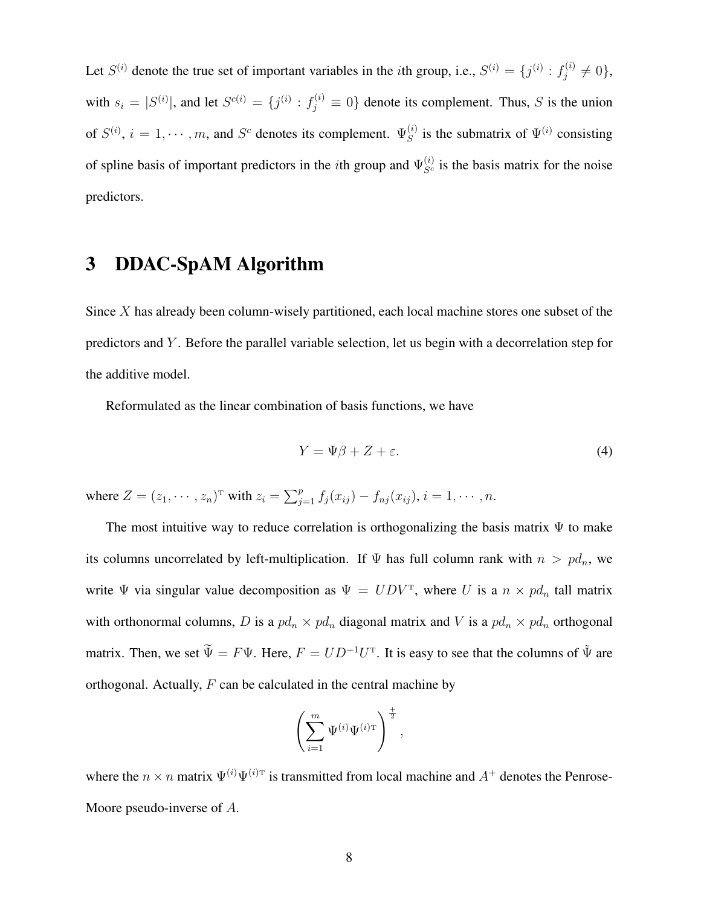Let  $S^{(i)}$  denote the true set of important variables in the *i*th group, i.e.,  $S^{(i)} = \{j^{(i)} : f_j^{(i)}\}$  $j^{(i)} \neq 0$ , with  $s_i = |S^{(i)}|$ , and let  $S^{c(i)} = \{j^{(i)} : f_j^{(i)} \equiv 0\}$  denote its complement. Thus, S is the union of  $S^{(i)}$ ,  $i = 1, \dots, m$ , and  $S^c$  denotes its complement.  $\Psi_S^{(i)}$  $s^{(i)}$  is the submatrix of  $\Psi^{(i)}$  consisting of spline basis of important predictors in the *i*th group and  $\Psi_{S^c}^{(i)}$  is the basis matrix for the noise predictors.

### <span id="page-7-0"></span>3 DDAC-SpAM Algorithm

Since  $X$  has already been column-wisely partitioned, each local machine stores one subset of the predictors and Y . Before the parallel variable selection, let us begin with a decorrelation step for the additive model.

Reformulated as the linear combination of basis functions, we have

<span id="page-7-1"></span>
$$
Y = \Psi \beta + Z + \varepsilon. \tag{4}
$$

where  $Z = (z_1, \dots, z_n)^T$  with  $z_i = \sum_{j=1}^p f_j(x_{ij}) - f_{nj}(x_{ij}), i = 1, \dots, n$ .

The most intuitive way to reduce correlation is orthogonalizing the basis matrix  $\Psi$  to make its columns uncorrelated by left-multiplication. If  $\Psi$  has full column rank with  $n > pd_n$ , we write  $\Psi$  via singular value decomposition as  $\Psi = UDV^T$ , where U is a  $n \times pd_n$  tall matrix with orthonormal columns, D is a  $pd_n \times pd_n$  diagonal matrix and V is a  $pd_n \times pd_n$  orthogonal matrix. Then, we set  $\widetilde{\Psi} = F\Psi$ . Here,  $F = UD^{-1}U^{T}$ . It is easy to see that the columns of  $\widetilde{\Psi}$  are orthogonal. Actually,  $F$  can be calculated in the central machine by

$$
\left(\sum_{i=1}^m \Psi^{(i)}\Psi^{(i)\mathrm{T}}\right)^{\frac{1}{2}},
$$

where the  $n \times n$  matrix  $\Psi^{(i)}\Psi^{(i)}$  is transmitted from local machine and  $A^+$  denotes the Penrose-Moore pseudo-inverse of A.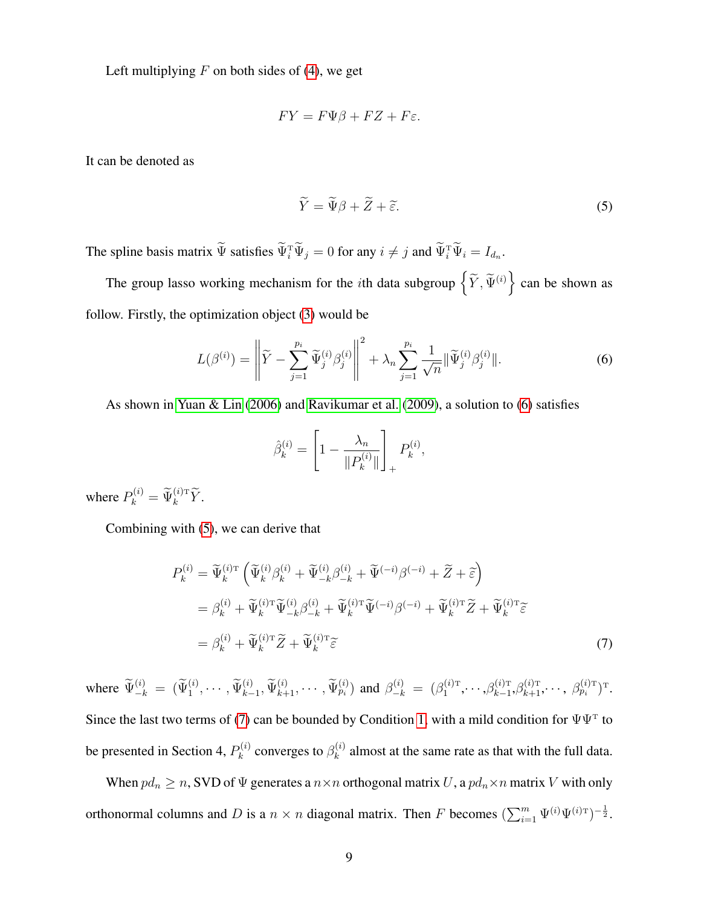Left multiplying  $F$  on both sides of [\(4\)](#page-7-1), we get

$$
FY = F\Psi\beta + FZ + F\varepsilon.
$$

It can be denoted as

<span id="page-8-1"></span><span id="page-8-0"></span>
$$
\widetilde{Y} = \widetilde{\Psi}\beta + \widetilde{Z} + \widetilde{\varepsilon}.\tag{5}
$$

The spline basis matrix  $\Psi$  satisfies  $\Psi_i^{\mathrm{T}} \Psi_j = 0$  for any  $i \neq j$  and  $\Psi_i^{\mathrm{T}} \Psi_i = I_{d_n}$ .

The group lasso working mechanism for the *i*th data subgroup  $\left\{ \widetilde{Y}, \widetilde{\Psi}^{(i)} \right\}$  can be shown as follow. Firstly, the optimization object [\(3\)](#page-5-1) would be

$$
L(\beta^{(i)}) = \left\| \widetilde{Y} - \sum_{j=1}^{p_i} \widetilde{\Psi}_j^{(i)} \beta_j^{(i)} \right\|^2 + \lambda_n \sum_{j=1}^{p_i} \frac{1}{\sqrt{n}} \|\widetilde{\Psi}_j^{(i)} \beta_j^{(i)}\|.
$$
 (6)

As shown in [Yuan & Lin](#page-39-7) [\(2006\)](#page-39-7) and [Ravikumar et al.](#page-37-3) [\(2009\)](#page-37-3), a solution to [\(6\)](#page-8-0) satisfies

<span id="page-8-2"></span>
$$
\hat{\beta}_k^{(i)} = \left[1 - \frac{\lambda_n}{\|P_k^{(i)}\|}\right]_+ P_k^{(i)},
$$

where  $P_k^{(i)} = \widetilde{\Psi}_k^{(i)T} \widetilde{Y}$ .

Combining with [\(5\)](#page-8-1), we can derive that

$$
P_k^{(i)} = \widetilde{\Psi}_k^{(i)\mathrm{T}} \left( \widetilde{\Psi}_k^{(i)} \beta_k^{(i)} + \widetilde{\Psi}_{-k}^{(i)} \beta_{-k}^{(i)} + \widetilde{\Psi}^{(-i)} \beta^{(-i)} + \widetilde{Z} + \widetilde{\varepsilon} \right)
$$
  
\n
$$
= \beta_k^{(i)} + \widetilde{\Psi}_k^{(i)\mathrm{T}} \widetilde{\Psi}_{-k}^{(i)} \beta_{-k}^{(i)} + \widetilde{\Psi}_k^{(i)\mathrm{T}} \widetilde{\Psi}^{(-i)} \beta^{(-i)} + \widetilde{\Psi}_k^{(i)\mathrm{T}} \widetilde{Z} + \widetilde{\Psi}_k^{(i)\mathrm{T}} \widetilde{\varepsilon}
$$
  
\n
$$
= \beta_k^{(i)} + \widetilde{\Psi}_k^{(i)\mathrm{T}} \widetilde{Z} + \widetilde{\Psi}_k^{(i)\mathrm{T}} \widetilde{\varepsilon}
$$
\n(7)

where  $\widetilde{\Psi}_{-k}^{(i)} = (\widetilde{\Psi}_{1}^{(i)}, \cdots, \widetilde{\Psi}_{k-1}^{(i)}, \widetilde{\Psi}_{k+1}^{(i)}, \cdots, \widetilde{\Psi}_{p_i}^{(i)})$  and  $\beta_{-k}^{(i)} = (\beta_{1}^{(i)T})$  $\beta_{k-1}^{(i)\text{\tiny T}},\cdots,\!\beta_{k-1}^{(i)\text{\tiny T}}$  $_{k-1}^{(i) \text{\tiny T}}, \beta_{k+1}^{(i) \text{\tiny T}}, \cdots, \ \beta_{p_i}^{(i) \text{\tiny T}} )^{\text{\tiny T}}.$ Since the last two terms of [\(7\)](#page-8-2) can be bounded by Condition [1,](#page-4-1) with a mild condition for  $\Psi\Psi^T$  to be presented in Section 4,  $P_k^{(i)}$  $\beta_k^{(i)}$  converges to  $\beta_k^{(i)}$  $k<sup>(t)</sup>$  almost at the same rate as that with the full data.

When  $pd_n \ge n$ , SVD of  $\Psi$  generates a  $n \times n$  orthogonal matrix U, a  $pd_n \times n$  matrix U with only orthonormal columns and D is a  $n \times n$  diagonal matrix. Then F becomes  $(\sum_{i=1}^{m} \Psi^{(i)} \Psi^{(i)T})^{-\frac{1}{2}}$ .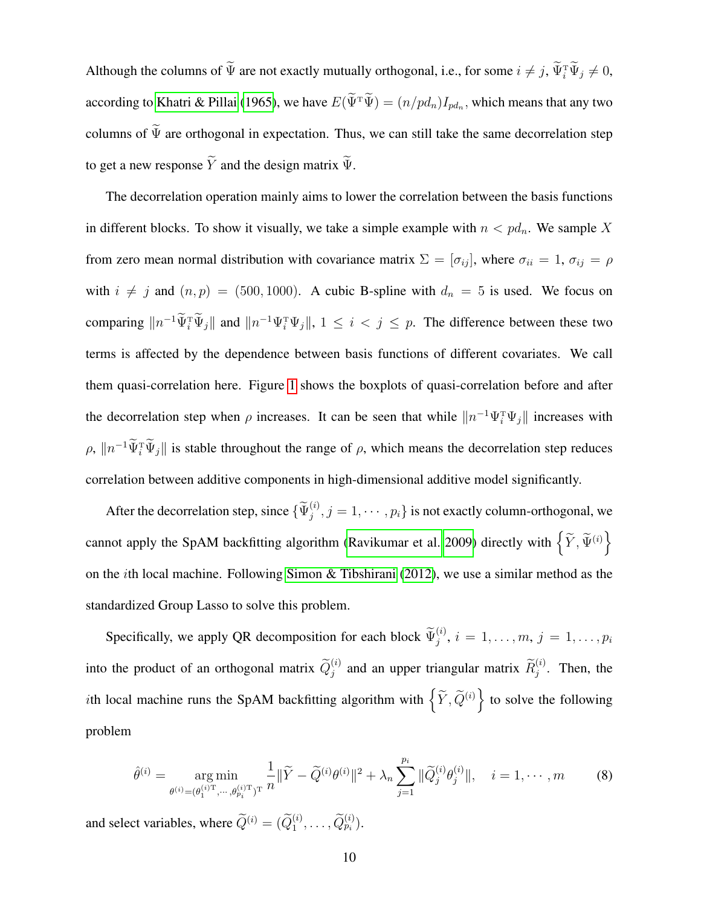Although the columns of  $\Psi$  are not exactly mutually orthogonal, i.e., for some  $i \neq j$ ,  $\Psi_i^{\text{T}}\Psi_j \neq 0$ , according to [Khatri & Pillai](#page-36-8) [\(1965\)](#page-36-8), we have  $E(\Psi^T \Psi) = (n/pd_n)I_{pd_n}$ , which means that any two columns of  $\widetilde{\Psi}$  are orthogonal in expectation. Thus, we can still take the same decorrelation step to get a new response  $\tilde{Y}$  and the design matrix  $\tilde{\Psi}$ .

The decorrelation operation mainly aims to lower the correlation between the basis functions in different blocks. To show it visually, we take a simple example with  $n < pd_n$ . We sample X from zero mean normal distribution with covariance matrix  $\Sigma = [\sigma_{ij}]$ , where  $\sigma_{ii} = 1$ ,  $\sigma_{ij} = \rho$ with  $i \neq j$  and  $(n, p) = (500, 1000)$ . A cubic B-spline with  $d_n = 5$  is used. We focus on comparing  $||n^{-1}\Psi_i^T\Psi_j||$  and  $||n^{-1}\Psi_i^T\Psi_j||$ ,  $1 \leq i < j \leq p$ . The difference between these two terms is affected by the dependence between basis functions of different covariates. We call them quasi-correlation here. Figure [1](#page-10-0) shows the boxplots of quasi-correlation before and after the decorrelation step when  $\rho$  increases. It can be seen that while  $||n^{-1}\Psi_i^{\text{T}}\Psi_j||$  increases with  $\rho$ ,  $\|n^{-1}\Psi_i^T\Psi_j\|$  is stable throughout the range of  $\rho$ , which means the decorrelation step reduces correlation between additive components in high-dimensional additive model significantly.

After the decorrelation step, since  $\{\widetilde{\Psi}_j^{(i)}, j = 1, \cdots, p_i\}$  is not exactly column-orthogonal, we cannot apply the SpAM backfitting algorithm [\(Ravikumar et al. 2009\)](#page-37-3) directly with  $\left\{ \widetilde{Y},\widetilde{\Psi}^{(i)}\right\}$ on the ith local machine. Following [Simon & Tibshirani](#page-37-8) [\(2012\)](#page-37-8), we use a similar method as the standardized Group Lasso to solve this problem.

Specifically, we apply QR decomposition for each block  $\widetilde{\Psi}_j^{(i)}$ ,  $i = 1, \ldots, m, j = 1, \ldots, p_i$ into the product of an orthogonal matrix  $\tilde{Q}_j^{(i)}$  and an upper triangular matrix  $\tilde{R}_j^{(i)}$ . Then, the *i*th local machine runs the SpAM backfitting algorithm with  $\left\{ \tilde{Y}, \tilde{Q}^{(i)} \right\}$  to solve the following problem

<span id="page-9-0"></span>
$$
\hat{\theta}^{(i)} = \underset{\theta^{(i)} = (\theta_1^{(i)T}, \dots, \theta_{p_i}^{(i)T})^T}{\arg \min} \frac{1}{n} \|\widetilde{Y} - \widetilde{Q}^{(i)}\theta^{(i)}\|^2 + \lambda_n \sum_{j=1}^{p_i} \|\widetilde{Q}_j^{(i)}\theta_j^{(i)}\|, \quad i = 1, \dots, m \tag{8}
$$

and select variables, where  $\widetilde{Q}^{(i)} = (\widetilde{Q}_1^{(i)}, \dots, \widetilde{Q}_{p_i}^{(i)}).$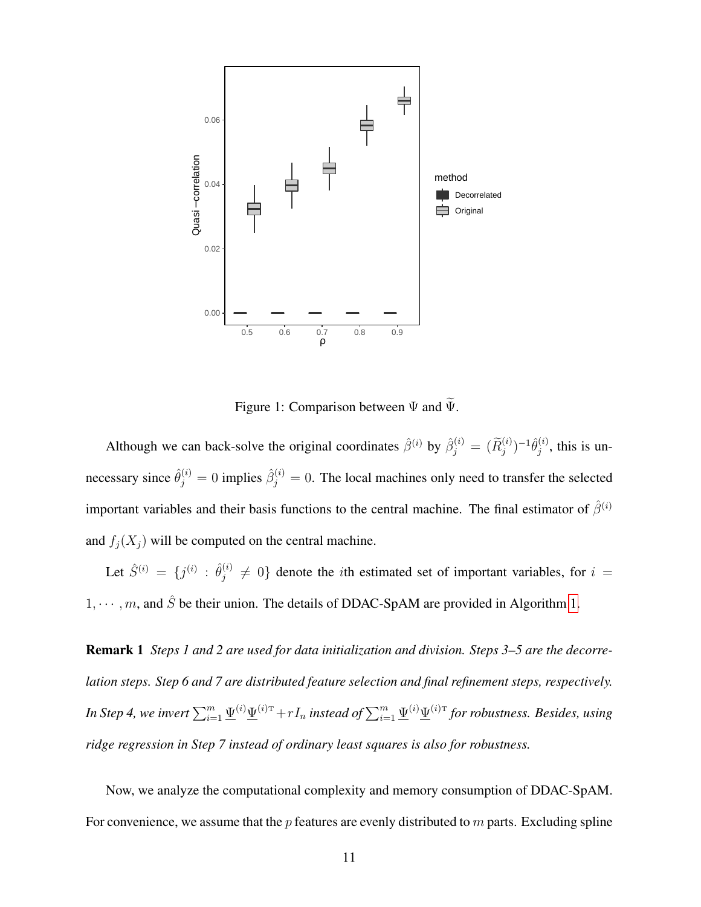

<span id="page-10-0"></span>Figure 1: Comparison between  $\Psi$  and  $\widetilde{\Psi}$ .

Although we can back-solve the original coordinates  $\hat{\beta}^{(i)}$  by  $\hat{\beta}_j^{(i)} = (\widetilde{R}_j^{(i)})^{-1} \hat{\theta}_j^{(i)}$  $j^{(i)}$ , this is unnecessary since  $\hat{\theta}_j^{(i)} = 0$  implies  $\hat{\beta}_j^{(i)} = 0$ . The local machines only need to transfer the selected important variables and their basis functions to the central machine. The final estimator of  $\hat{\beta}^{(i)}$ and  $f_i(X_i)$  will be computed on the central machine.

Let  $\hat{S}^{(i)} = \{j^{(i)} : \hat{\theta}_j^{(i)}\}$  $j^{(i)} \neq 0$  denote the *i*th estimated set of important variables, for  $i =$  $1, \dots, m$ , and  $\hat{S}$  be their union. The details of DDAC-SpAM are provided in Algorithm [1.](#page-11-0)

Remark 1 *Steps 1 and 2 are used for data initialization and division. Steps 3–5 are the decorrelation steps. Step 6 and 7 are distributed feature selection and final refinement steps, respectively.* In Step 4, we invert  $\sum_{i=1}^m \underline{\Psi}^{(i)} \underline{\Psi}^{(i)\mathrm{T}}+rI_n$  instead of  $\sum_{i=1}^m \underline{\Psi}^{(i)} \underline{\Psi}^{(i)\mathrm{T}}$  for robustness. Besides, using *ridge regression in Step 7 instead of ordinary least squares is also for robustness.*

Now, we analyze the computational complexity and memory consumption of DDAC-SpAM. For convenience, we assume that the  $p$  features are evenly distributed to  $m$  parts. Excluding spline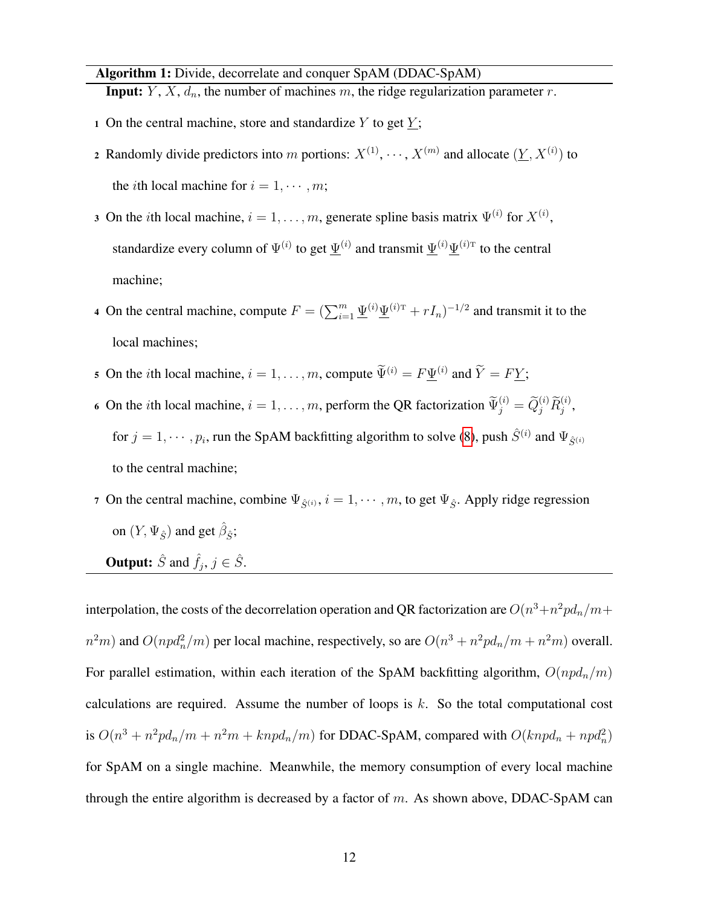Algorithm 1: Divide, decorrelate and conquer SpAM (DDAC-SpAM)

<span id="page-11-0"></span>**Input:**  $Y$ ,  $X$ ,  $d_n$ , the number of machines  $m$ , the ridge regularization parameter  $r$ .

- 1 On the central machine, store and standardize Y to get  $\underline{Y}$ ;
- 2 Randomly divide predictors into m portions:  $X^{(1)}, \dots, X^{(m)}$  and allocate  $(\underline{Y}, X^{(i)})$  to the *i*th local machine for  $i = 1, \dots, m$ ;
- 3 On the *i*th local machine,  $i = 1, \ldots, m$ , generate spline basis matrix  $\Psi^{(i)}$  for  $X^{(i)}$ , standardize every column of  $\Psi^{(i)}$  to get  $\underline{\Psi}^{(i)}$  and transmit  $\underline{\Psi}^{(i)}\underline{\Psi}^{(i)\text{T}}$  to the central machine;
- 4 On the central machine, compute  $F = (\sum_{i=1}^m \underline{\Psi}^{(i)} \underline{\Psi}^{(i)\mathrm{T}} + rI_n)^{-1/2}$  and transmit it to the local machines;
- 5 On the *i*th local machine,  $i = 1, ..., m$ , compute  $\widetilde{\Psi}^{(i)} = F \underline{\Psi}^{(i)}$  and  $\widetilde{Y} = F \underline{Y}$ ;
- 6 On the *i*th local machine,  $i = 1, \ldots, m$ , perform the QR factorization  $\widetilde{\Psi}_j^{(i)} = \widetilde{Q}_j^{(i)} \widetilde{R}_j^{(i)}$ , for  $j = 1, \dots, p_i$ , run the SpAM backfitting algorithm to solve [\(8\)](#page-9-0), push  $\hat{S}^{(i)}$  and  $\Psi_{\hat{S}^{(i)}}$ to the central machine;
- 7 On the central machine, combine  $\Psi_{\hat{S}^{(i)}}, i = 1, \dots, m$ , to get  $\Psi_{\hat{S}}$ . Apply ridge regression on  $(Y, \Psi_{\hat{S}})$  and get  $\hat{\beta}_{\hat{S}}$ ;

**Output:**  $\hat{S}$  and  $\hat{f}_j$ ,  $j \in \hat{S}$ .

interpolation, the costs of the decorrelation operation and QR factorization are  $O(n^3+n^2pd_n/m+1)$  $n^2m$ ) and  $O(npd_n^2/m)$  per local machine, respectively, so are  $O(n^3 + n^2pd_n/m + n^2m)$  overall. For parallel estimation, within each iteration of the SpAM backfitting algorithm,  $O(npd_n/m)$ calculations are required. Assume the number of loops is  $k$ . So the total computational cost is  $O(n^3 + n^2pd_n/m + n^2m + knpd_n/m)$  for DDAC-SpAM, compared with  $O(knpd_n + npd_n^2)$ for SpAM on a single machine. Meanwhile, the memory consumption of every local machine through the entire algorithm is decreased by a factor of  $m$ . As shown above, DDAC-SpAM can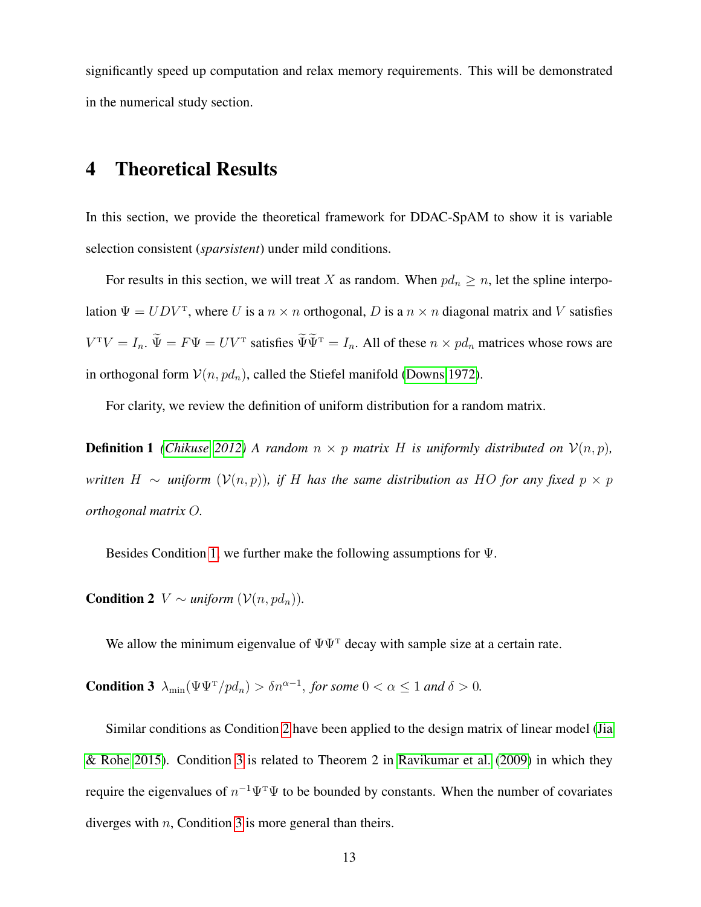significantly speed up computation and relax memory requirements. This will be demonstrated in the numerical study section.

### <span id="page-12-0"></span>4 Theoretical Results

In this section, we provide the theoretical framework for DDAC-SpAM to show it is variable selection consistent (*sparsistent*) under mild conditions.

For results in this section, we will treat X as random. When  $pd_n \ge n$ , let the spline interpolation  $\Psi = U D V^{\text{T}}$ , where U is a  $n \times n$  orthogonal, D is a  $n \times n$  diagonal matrix and V satisfies  $V^{T}V = I_{n}$ .  $\Psi = F\Psi = UV^{T}$  satisfies  $\Psi\Psi^{T} = I_{n}$ . All of these  $n \times pd_{n}$  matrices whose rows are in orthogonal form  $V(n, pd_n)$ , called the Stiefel manifold [\(Downs 1972\)](#page-35-6).

For clarity, we review the definition of uniform distribution for a random matrix.

**Definition 1** *[\(Chikuse 2012\)](#page-35-7)* A random  $n \times p$  matrix H is uniformly distributed on  $\mathcal{V}(n, p)$ , *written*  $H \sim$  *uniform*  $(V(n, p))$ *, if* H *has the same distribution as HO for any fixed*  $p \times p$ *orthogonal matrix* O*.*

<span id="page-12-1"></span>Besides Condition [1,](#page-4-1) we further make the following assumptions for Ψ.

**Condition 2**  $V \sim \text{uniform } (\mathcal{V}(n, pd_n)).$ 

<span id="page-12-2"></span>We allow the minimum eigenvalue of  $\Psi\Psi^T$  decay with sample size at a certain rate.

**Condition 3**  $\lambda_{\min}(\Psi \Psi^T / p d_n) > \delta n^{\alpha - 1}$ , for some  $0 < \alpha \le 1$  and  $\delta > 0$ .

Similar conditions as Condition [2](#page-12-1) have been applied to the design matrix of linear model [\(Jia](#page-36-6) [& Rohe 2015\)](#page-36-6). Condition [3](#page-12-2) is related to Theorem 2 in [Ravikumar et al.](#page-37-3) [\(2009\)](#page-37-3) in which they require the eigenvalues of  $n^{-1}\Psi^{\mathrm{T}}\Psi$  to be bounded by constants. When the number of covariates diverges with  $n$ , Condition [3](#page-12-2) is more general than theirs.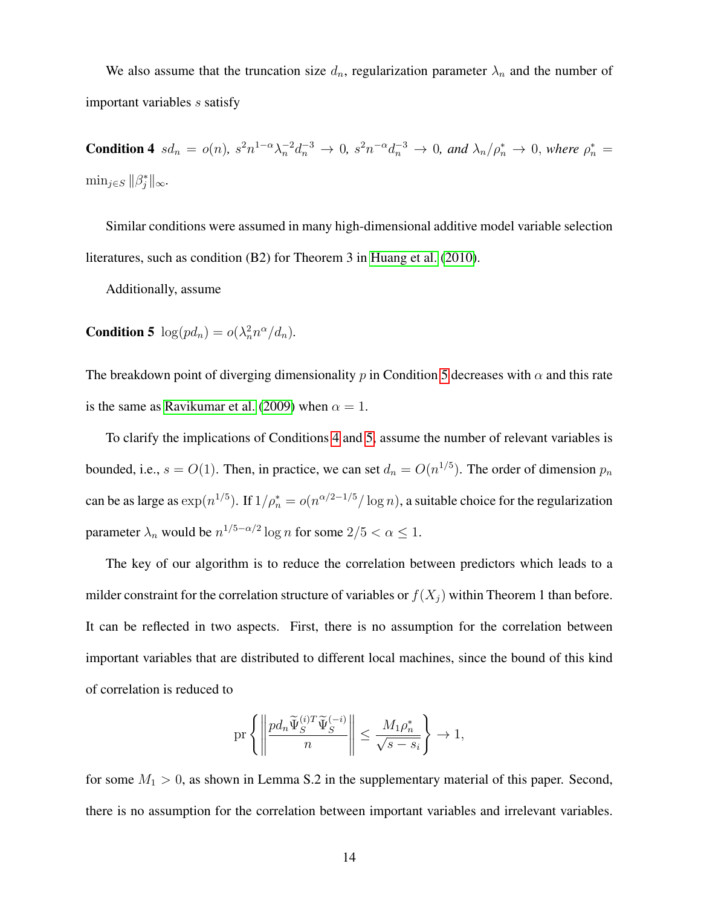We also assume that the truncation size  $d_n$ , regularization parameter  $\lambda_n$  and the number of important variables s satisfy

<span id="page-13-1"></span>**Condition 4**  $sd_n = o(n)$ ,  $s^2 n^{1-\alpha} \lambda_n^{-2} d_n^{-3} \to 0$ ,  $s^2 n^{-\alpha} d_n^{-3} \to 0$ , and  $\lambda_n / \rho_n^* \to 0$ , where  $\rho_n^* =$  $\min_{j \in S} ||\beta_j^*||_{\infty}$ .

Similar conditions were assumed in many high-dimensional additive model variable selection literatures, such as condition (B2) for Theorem 3 in [Huang et al.](#page-36-3) [\(2010\)](#page-36-3).

<span id="page-13-0"></span>Additionally, assume

**Condition 5**  $\log(p d_n) = o(\lambda_n^2 n^{\alpha}/d_n)$ .

The breakdown point of diverging dimensionality p in Condition [5](#page-13-0) decreases with  $\alpha$  and this rate is the same as [Ravikumar et al.](#page-37-3) [\(2009\)](#page-37-3) when  $\alpha = 1$ .

To clarify the implications of Conditions [4](#page-13-1) and [5,](#page-13-0) assume the number of relevant variables is bounded, i.e.,  $s = O(1)$ . Then, in practice, we can set  $d_n = O(n^{1/5})$ . The order of dimension  $p_n$ can be as large as  $\exp(n^{1/5})$ . If  $1/\rho_n^* = o(n^{\alpha/2-1/5}/\log n)$ , a suitable choice for the regularization parameter  $\lambda_n$  would be  $n^{1/5-\alpha/2} \log n$  for some  $2/5 < \alpha \le 1$ .

The key of our algorithm is to reduce the correlation between predictors which leads to a milder constraint for the correlation structure of variables or  $f(X_i)$  within Theorem 1 than before. It can be reflected in two aspects. First, there is no assumption for the correlation between important variables that are distributed to different local machines, since the bound of this kind of correlation is reduced to

$$
\mathrm{pr}\left\{\left\|\frac{pd_n\widetilde{\Psi}^{(i)T}_S\widetilde{\Psi}^{(-i)}_S}{n}\right\|\leq \frac{M_1\rho_n^*}{\sqrt{s-s_i}}\right\}\to 1,
$$

for some  $M_1 > 0$ , as shown in Lemma S.2 in the supplementary material of this paper. Second, there is no assumption for the correlation between important variables and irrelevant variables.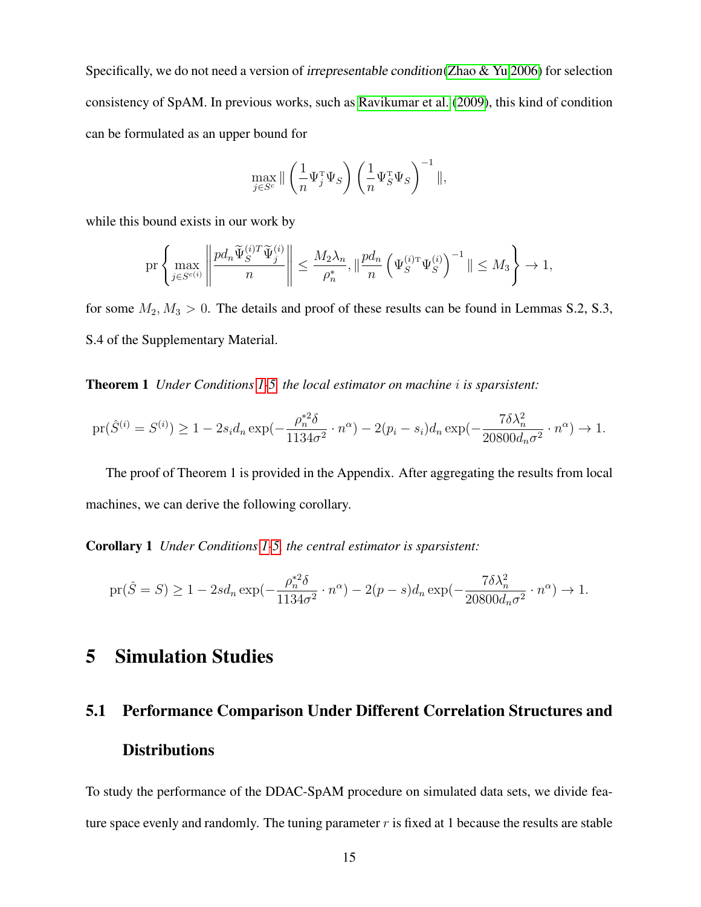Specifically, we do not need a version of irrepresentable condition[\(Zhao & Yu 2006\)](#page-39-8) for selection consistency of SpAM. In previous works, such as [Ravikumar et al.](#page-37-3) [\(2009\)](#page-37-3), this kind of condition can be formulated as an upper bound for

$$
\max_{j \in S^c} \|\left(\frac{1}{n} \Psi_j^{\mathrm{T}} \Psi_S\right) \left(\frac{1}{n} \Psi_S^{\mathrm{T}} \Psi_S\right)^{-1} \|,
$$

while this bound exists in our work by

$$
\mathrm{pr}\left\{\max_{j\in S^{c(i)}}\left\|\frac{pd_n\widetilde{\Psi}_S^{(i)T}\widetilde{\Psi}_j^{(i)}}{n}\right\|\leq \frac{M_2\lambda_n}{\rho_n^*},\|\frac{pd_n}{n}\left(\Psi_S^{(i)\mathrm{T}}\Psi_S^{(i)}\right)^{-1}\|\leq M_3\right\}\to 1,
$$

for some  $M_2, M_3 > 0$ . The details and proof of these results can be found in Lemmas S.2, S.3, S.4 of the Supplementary Material.

Theorem 1 *Under Conditions [1-](#page-4-1)[5,](#page-13-0) the local estimator on machine* i *is sparsistent:*

$$
\text{pr}(\hat{S}^{(i)} = S^{(i)}) \ge 1 - 2s_i d_n \exp(-\frac{\rho_n^{*2} \delta}{1134\sigma^2} \cdot n^{\alpha}) - 2(p_i - s_i) d_n \exp(-\frac{7\delta \lambda_n^2}{20800 d_n \sigma^2} \cdot n^{\alpha}) \to 1.
$$

The proof of Theorem 1 is provided in the Appendix. After aggregating the results from local machines, we can derive the following corollary.

Corollary 1 *Under Conditions [1](#page-4-1)[-5,](#page-13-0) the central estimator is sparsistent:*

$$
\text{pr}(\hat{S}=S) \ge 1 - 2sd_n \exp(-\frac{\rho_n^{*2}\delta}{1134\sigma^2} \cdot n^{\alpha}) - 2(p-s)d_n \exp(-\frac{7\delta\lambda_n^2}{20800d_n\sigma^2} \cdot n^{\alpha}) \to 1.
$$

### <span id="page-14-0"></span>5 Simulation Studies

# 5.1 Performance Comparison Under Different Correlation Structures and **Distributions**

To study the performance of the DDAC-SpAM procedure on simulated data sets, we divide feature space evenly and randomly. The tuning parameter  $r$  is fixed at 1 because the results are stable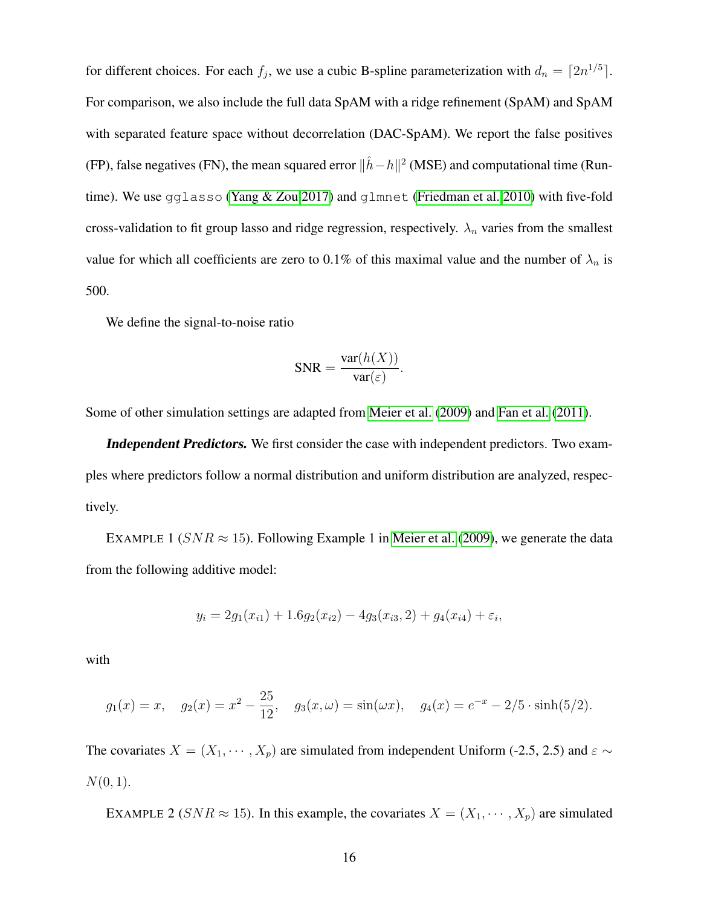for different choices. For each  $f_j$ , we use a cubic B-spline parameterization with  $d_n = \lceil 2n^{1/5} \rceil$ . For comparison, we also include the full data SpAM with a ridge refinement (SpAM) and SpAM with separated feature space without decorrelation (DAC-SpAM). We report the false positives (FP), false negatives (FN), the mean squared error  $\|\hat{h}-h\|^2$  (MSE) and computational time (Runtime). We use gglasso [\(Yang & Zou 2017\)](#page-38-5) and glmnet [\(Friedman et al. 2010\)](#page-35-8) with five-fold cross-validation to fit group lasso and ridge regression, respectively.  $\lambda_n$  varies from the smallest value for which all coefficients are zero to 0.1% of this maximal value and the number of  $\lambda_n$  is 500.

We define the signal-to-noise ratio

$$
SNR = \frac{\text{var}(h(X))}{\text{var}(\varepsilon)}.
$$

Some of other simulation settings are adapted from [Meier et al.](#page-36-1) [\(2009\)](#page-36-1) and [Fan et al.](#page-35-9) [\(2011\)](#page-35-9).

Independent Predictors. We first consider the case with independent predictors. Two examples where predictors follow a normal distribution and uniform distribution are analyzed, respectively.

EXAMPLE 1 ( $SNR \approx 15$ ). Following Example 1 in [Meier et al.](#page-36-1) [\(2009\)](#page-36-1), we generate the data from the following additive model:

$$
y_i = 2g_1(x_{i1}) + 1.6g_2(x_{i2}) - 4g_3(x_{i3}, 2) + g_4(x_{i4}) + \varepsilon_i,
$$

with

$$
g_1(x) = x
$$
,  $g_2(x) = x^2 - \frac{25}{12}$ ,  $g_3(x, \omega) = \sin(\omega x)$ ,  $g_4(x) = e^{-x} - 2/5 \cdot \sinh(5/2)$ .

The covariates  $X = (X_1, \dots, X_p)$  are simulated from independent Uniform (-2.5, 2.5) and  $\varepsilon \sim$  $N(0, 1)$ .

EXAMPLE 2 ( $SNR \approx 15$ ). In this example, the covariates  $X = (X_1, \dots, X_p)$  are simulated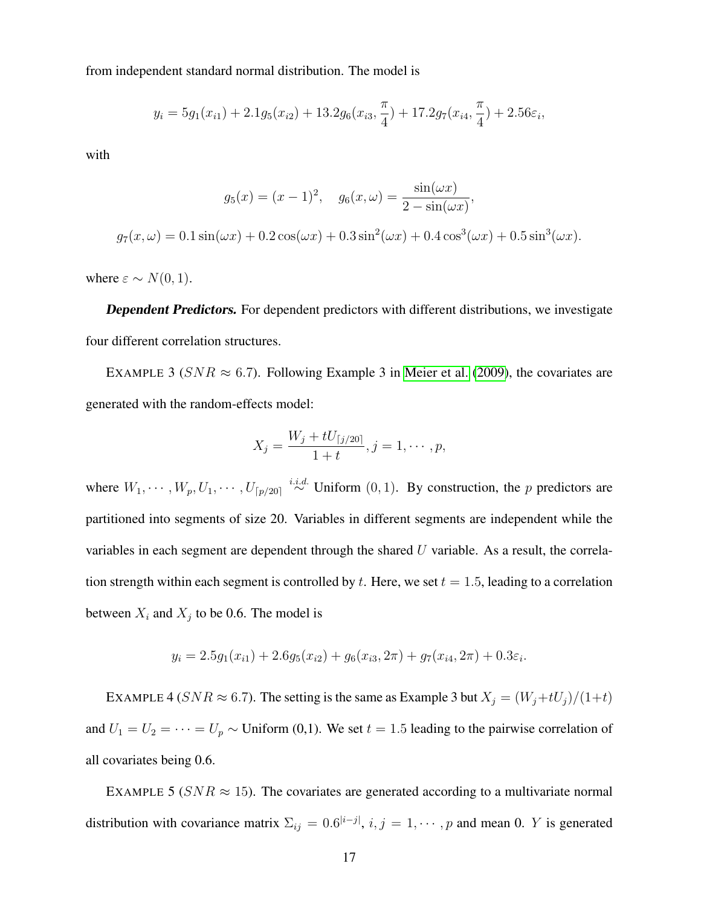from independent standard normal distribution. The model is

$$
y_i = 5g_1(x_{i1}) + 2.1g_5(x_{i2}) + 13.2g_6(x_{i3}, \frac{\pi}{4}) + 17.2g_7(x_{i4}, \frac{\pi}{4}) + 2.56\varepsilon_i,
$$

with

$$
g_5(x) = (x - 1)^2, \quad g_6(x, \omega) = \frac{\sin(\omega x)}{2 - \sin(\omega x)},
$$

$$
g_7(x, \omega) = 0.1 \sin(\omega x) + 0.2 \cos(\omega x) + 0.3 \sin^2(\omega x) + 0.4 \cos^3(\omega x) + 0.5 \sin^3(\omega x).
$$

where  $\varepsilon \sim N(0, 1)$ .

Dependent Predictors. For dependent predictors with different distributions, we investigate four different correlation structures.

EXAMPLE 3 ( $SNR \approx 6.7$ ). Following Example 3 in [Meier et al.](#page-36-1) [\(2009\)](#page-36-1), the covariates are generated with the random-effects model:

$$
X_j = \frac{W_j + tU_{\lceil j/20 \rceil}}{1+t}, j = 1, \cdots, p,
$$

where  $W_1, \dots, W_p, U_1, \dots, U_{p/20} \stackrel{i.i.d.}{\sim}$  Uniform  $(0, 1)$ . By construction, the p predictors are partitioned into segments of size 20. Variables in different segments are independent while the variables in each segment are dependent through the shared  $U$  variable. As a result, the correlation strength within each segment is controlled by t. Here, we set  $t = 1.5$ , leading to a correlation between  $X_i$  and  $X_j$  to be 0.6. The model is

$$
y_i = 2.5g_1(x_{i1}) + 2.6g_5(x_{i2}) + g_6(x_{i3}, 2\pi) + g_7(x_{i4}, 2\pi) + 0.3\varepsilon_i.
$$

EXAMPLE 4 ( $SNR \approx 6.7$ ). The setting is the same as Example 3 but  $X_j = (W_j + tU_j)/(1+t)$ and  $U_1 = U_2 = \cdots = U_p \sim$  Uniform (0,1). We set  $t = 1.5$  leading to the pairwise correlation of all covariates being 0.6.

EXAMPLE 5 ( $SNR \approx 15$ ). The covariates are generated according to a multivariate normal distribution with covariance matrix  $\Sigma_{ij} = 0.6^{|i-j|}, i, j = 1, \cdots, p$  and mean 0. Y is generated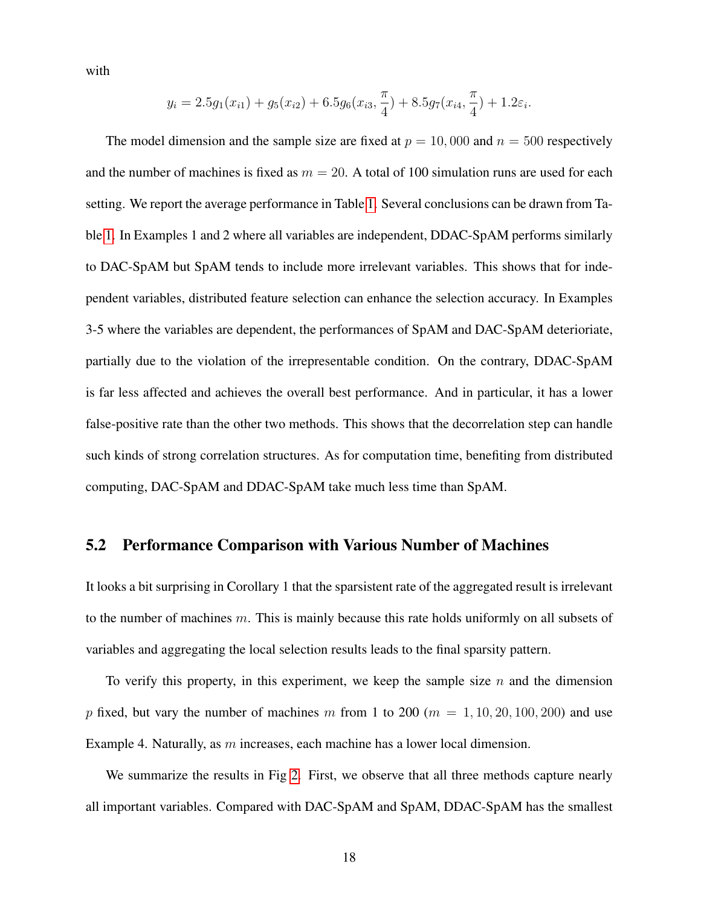with

$$
y_i = 2.5g_1(x_{i1}) + g_5(x_{i2}) + 6.5g_6(x_{i3}, \frac{\pi}{4}) + 8.5g_7(x_{i4}, \frac{\pi}{4}) + 1.2\varepsilon_i.
$$

The model dimension and the sample size are fixed at  $p = 10,000$  and  $n = 500$  respectively and the number of machines is fixed as  $m = 20$ . A total of 100 simulation runs are used for each setting. We report the average performance in Table [1.](#page-18-0) Several conclusions can be drawn from Table [1.](#page-18-0) In Examples 1 and 2 where all variables are independent, DDAC-SpAM performs similarly to DAC-SpAM but SpAM tends to include more irrelevant variables. This shows that for independent variables, distributed feature selection can enhance the selection accuracy. In Examples 3-5 where the variables are dependent, the performances of SpAM and DAC-SpAM deterioriate, partially due to the violation of the irrepresentable condition. On the contrary, DDAC-SpAM is far less affected and achieves the overall best performance. And in particular, it has a lower false-positive rate than the other two methods. This shows that the decorrelation step can handle such kinds of strong correlation structures. As for computation time, benefiting from distributed computing, DAC-SpAM and DDAC-SpAM take much less time than SpAM.

#### 5.2 Performance Comparison with Various Number of Machines

It looks a bit surprising in Corollary 1 that the sparsistent rate of the aggregated result is irrelevant to the number of machines  $m$ . This is mainly because this rate holds uniformly on all subsets of variables and aggregating the local selection results leads to the final sparsity pattern.

To verify this property, in this experiment, we keep the sample size  $n$  and the dimension p fixed, but vary the number of machines m from 1 to 200 ( $m = 1, 10, 20, 100, 200$ ) and use Example 4. Naturally, as m increases, each machine has a lower local dimension.

We summarize the results in Fig [2.](#page-19-0) First, we observe that all three methods capture nearly all important variables. Compared with DAC-SpAM and SpAM, DDAC-SpAM has the smallest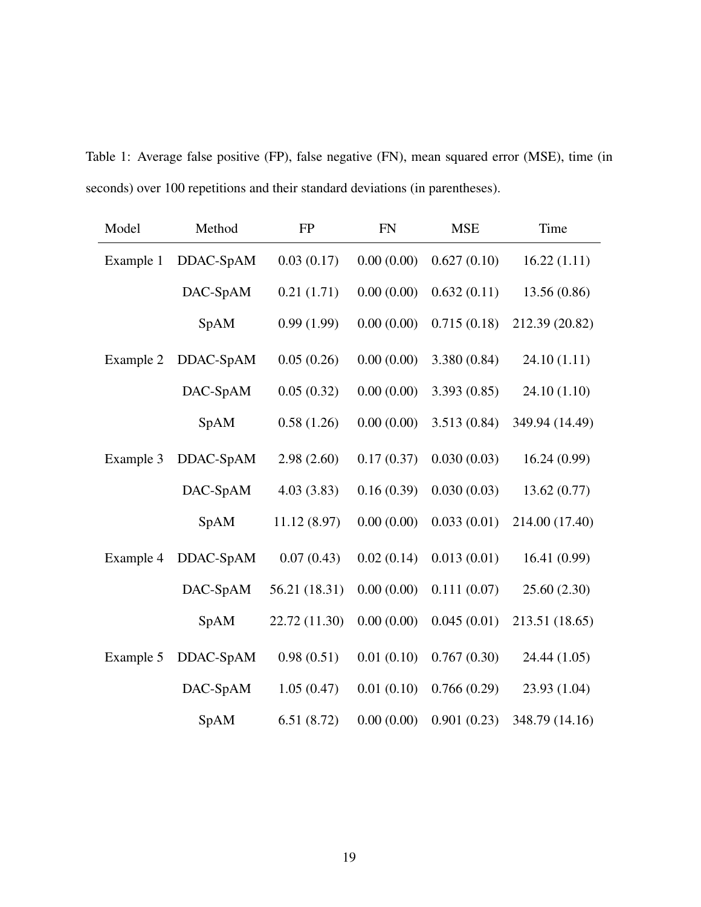<span id="page-18-0"></span>Table 1: Average false positive (FP), false negative (FN), mean squared error (MSE), time (in seconds) over 100 repetitions and their standard deviations (in parentheses).

| Model     | Method    | <b>FP</b>     | <b>FN</b>  | <b>MSE</b>   | Time           |
|-----------|-----------|---------------|------------|--------------|----------------|
| Example 1 | DDAC-SpAM | 0.03(0.17)    | 0.00(0.00) | 0.627(0.10)  | 16.22(1.11)    |
|           | DAC-SpAM  | 0.21(1.71)    | 0.00(0.00) | 0.632(0.11)  | 13.56 (0.86)   |
|           | SpAM      | 0.99(1.99)    | 0.00(0.00) | 0.715(0.18)  | 212.39 (20.82) |
| Example 2 | DDAC-SpAM | 0.05(0.26)    | 0.00(0.00) | 3.380 (0.84) | 24.10(1.11)    |
|           | DAC-SpAM  | 0.05(0.32)    | 0.00(0.00) | 3.393(0.85)  | 24.10 (1.10)   |
|           | SpAM      | 0.58(1.26)    | 0.00(0.00) | 3.513 (0.84) | 349.94 (14.49) |
| Example 3 | DDAC-SpAM | 2.98(2.60)    | 0.17(0.37) | 0.030(0.03)  | 16.24(0.99)    |
|           | DAC-SpAM  | 4.03(3.83)    | 0.16(0.39) | 0.030(0.03)  | 13.62(0.77)    |
|           | SpAM      | 11.12 (8.97)  | 0.00(0.00) | 0.033(0.01)  | 214.00 (17.40) |
| Example 4 | DDAC-SpAM | 0.07(0.43)    | 0.02(0.14) | 0.013(0.01)  | 16.41(0.99)    |
|           | DAC-SpAM  | 56.21 (18.31) | 0.00(0.00) | 0.111(0.07)  | 25.60 (2.30)   |
|           | SpAM      | 22.72 (11.30) | 0.00(0.00) | 0.045(0.01)  | 213.51 (18.65) |
| Example 5 | DDAC-SpAM | 0.98(0.51)    | 0.01(0.10) | 0.767(0.30)  | 24.44 (1.05)   |
|           | DAC-SpAM  | 1.05(0.47)    | 0.01(0.10) | 0.766(0.29)  | 23.93 (1.04)   |
|           | SpAM      | 6.51(8.72)    | 0.00(0.00) | 0.901(0.23)  | 348.79 (14.16) |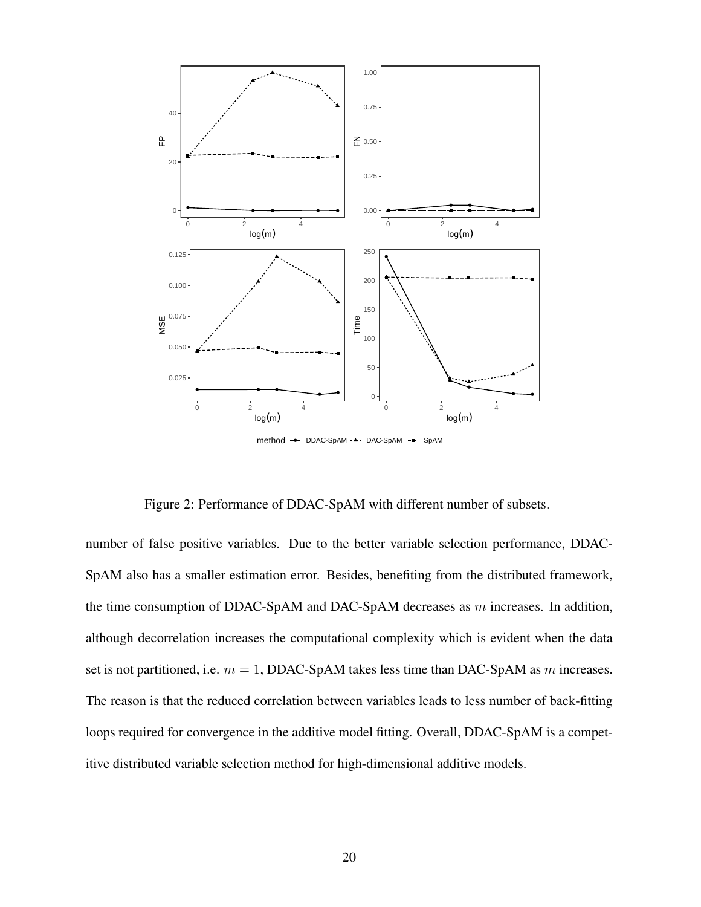

<span id="page-19-0"></span>Figure 2: Performance of DDAC-SpAM with different number of subsets.

number of false positive variables. Due to the better variable selection performance, DDAC-SpAM also has a smaller estimation error. Besides, benefiting from the distributed framework, the time consumption of DDAC-SpAM and DAC-SpAM decreases as  $m$  increases. In addition, although decorrelation increases the computational complexity which is evident when the data set is not partitioned, i.e.  $m = 1$ , DDAC-SpAM takes less time than DAC-SpAM as m increases. The reason is that the reduced correlation between variables leads to less number of back-fitting loops required for convergence in the additive model fitting. Overall, DDAC-SpAM is a competitive distributed variable selection method for high-dimensional additive models.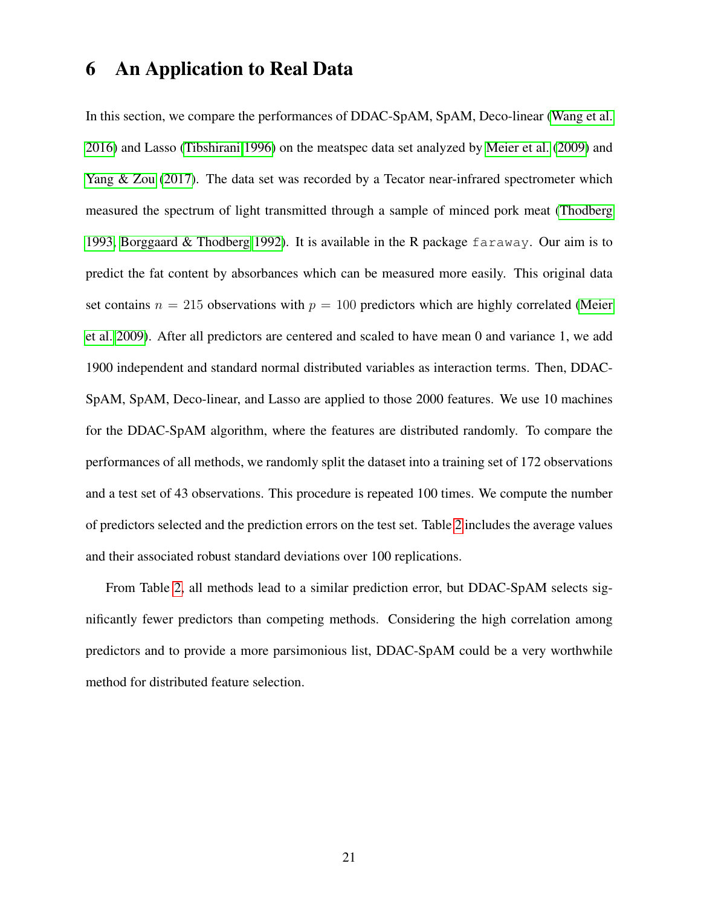### <span id="page-20-0"></span>6 An Application to Real Data

In this section, we compare the performances of DDAC-SpAM, SpAM, Deco-linear [\(Wang et al.](#page-38-1) [2016\)](#page-38-1) and Lasso [\(Tibshirani 1996\)](#page-38-2) on the meatspec data set analyzed by [Meier et al.](#page-36-1) [\(2009\)](#page-36-1) and [Yang & Zou](#page-38-5) [\(2017\)](#page-38-5). The data set was recorded by a Tecator near-infrared spectrometer which measured the spectrum of light transmitted through a sample of minced pork meat [\(Thodberg](#page-38-6) [1993,](#page-38-6) [Borggaard & Thodberg 1992\)](#page-34-3). It is available in the R package faraway. Our aim is to predict the fat content by absorbances which can be measured more easily. This original data set contains  $n = 215$  observations with  $p = 100$  predictors which are highly correlated [\(Meier](#page-36-1) [et al. 2009\)](#page-36-1). After all predictors are centered and scaled to have mean 0 and variance 1, we add 1900 independent and standard normal distributed variables as interaction terms. Then, DDAC-SpAM, SpAM, Deco-linear, and Lasso are applied to those 2000 features. We use 10 machines for the DDAC-SpAM algorithm, where the features are distributed randomly. To compare the performances of all methods, we randomly split the dataset into a training set of 172 observations and a test set of 43 observations. This procedure is repeated 100 times. We compute the number of predictors selected and the prediction errors on the test set. Table [2](#page-21-1) includes the average values and their associated robust standard deviations over 100 replications.

From Table [2,](#page-21-1) all methods lead to a similar prediction error, but DDAC-SpAM selects significantly fewer predictors than competing methods. Considering the high correlation among predictors and to provide a more parsimonious list, DDAC-SpAM could be a very worthwhile method for distributed feature selection.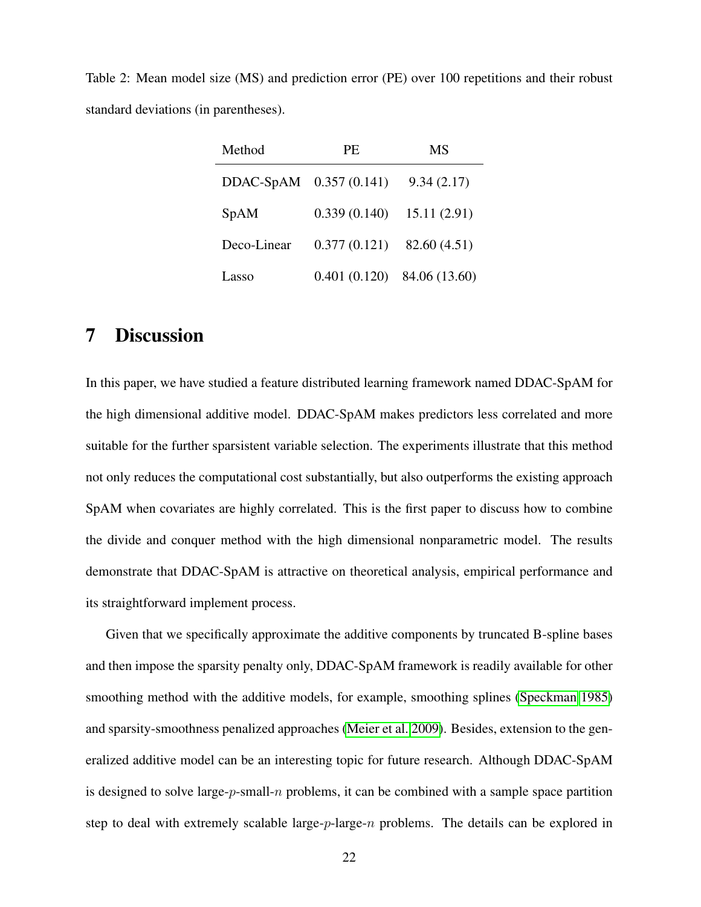<span id="page-21-1"></span>Table 2: Mean model size (MS) and prediction error (PE) over 100 repetitions and their robust standard deviations (in parentheses).

| Method                  | PE.          | <b>MS</b>     |  |
|-------------------------|--------------|---------------|--|
| DDAC-SpAM 0.357 (0.141) |              | 9.34(2.17)    |  |
| SpAM                    | 0.339(0.140) | 15.11(2.91)   |  |
| Deco-Linear             | 0.377(0.121) | 82.60 (4.51)  |  |
| Lasso                   | 0.401(0.120) | 84.06 (13.60) |  |

### <span id="page-21-0"></span>7 Discussion

In this paper, we have studied a feature distributed learning framework named DDAC-SpAM for the high dimensional additive model. DDAC-SpAM makes predictors less correlated and more suitable for the further sparsistent variable selection. The experiments illustrate that this method not only reduces the computational cost substantially, but also outperforms the existing approach SpAM when covariates are highly correlated. This is the first paper to discuss how to combine the divide and conquer method with the high dimensional nonparametric model. The results demonstrate that DDAC-SpAM is attractive on theoretical analysis, empirical performance and its straightforward implement process.

Given that we specifically approximate the additive components by truncated B-spline bases and then impose the sparsity penalty only, DDAC-SpAM framework is readily available for other smoothing method with the additive models, for example, smoothing splines [\(Speckman 1985\)](#page-37-9) and sparsity-smoothness penalized approaches [\(Meier et al. 2009\)](#page-36-1). Besides, extension to the generalized additive model can be an interesting topic for future research. Although DDAC-SpAM is designed to solve large- $p$ -small- $n$  problems, it can be combined with a sample space partition step to deal with extremely scalable large- $p$ -large- $n$  problems. The details can be explored in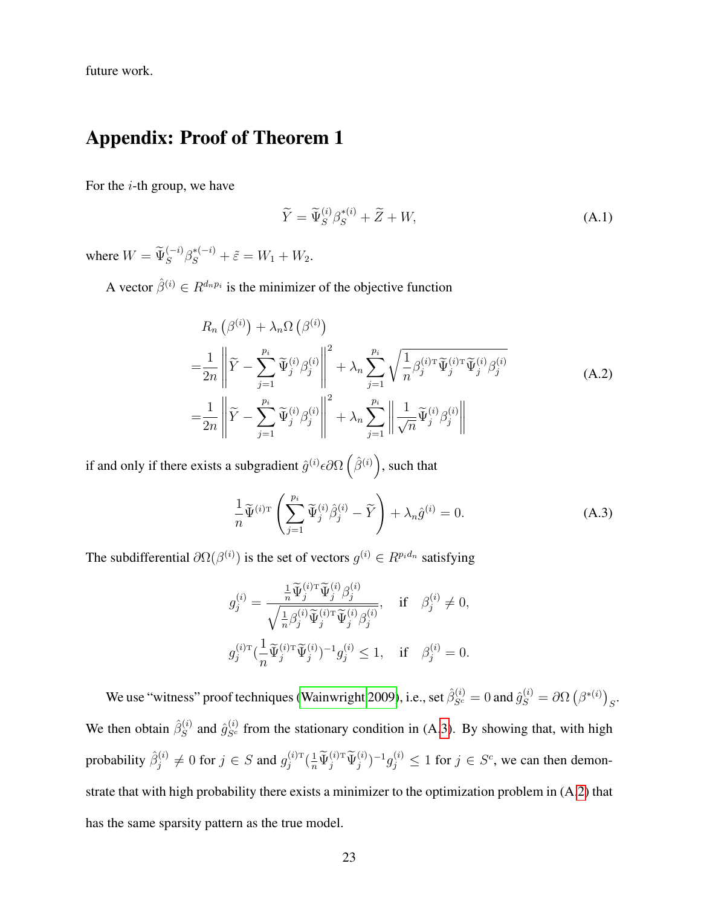future work.

### Appendix: Proof of Theorem 1

For the  $i$ -th group, we have

<span id="page-22-2"></span>
$$
\widetilde{Y} = \widetilde{\Psi}_S^{(i)} \beta_S^{*(i)} + \widetilde{Z} + W,\tag{A.1}
$$

where  $W = \widetilde{\Psi}_S^{(-i)} \beta_S^{*(-i)} + \widetilde{\varepsilon} = W_1 + W_2.$ 

A vector  $\hat{\beta}^{(i)} \in R^{d_n p_i}$  is the minimizer of the objective function

<span id="page-22-1"></span>
$$
R_n(\beta^{(i)}) + \lambda_n \Omega(\beta^{(i)})
$$
  
=  $\frac{1}{2n} \left\| \widetilde{Y} - \sum_{j=1}^{p_i} \widetilde{\Psi}_j^{(i)} \beta_j^{(i)} \right\|^2 + \lambda_n \sum_{j=1}^{p_i} \sqrt{\frac{1}{n} \beta_j^{(i) \mathrm{T}} \widetilde{\Psi}_j^{(i) \mathrm{T}} \widetilde{\Psi}_j^{(i)} \beta_j^{(i)}}$   
=  $\frac{1}{2n} \left\| \widetilde{Y} - \sum_{j=1}^{p_i} \widetilde{\Psi}_j^{(i)} \beta_j^{(i)} \right\|^2 + \lambda_n \sum_{j=1}^{p_i} \left\| \frac{1}{\sqrt{n}} \widetilde{\Psi}_j^{(i)} \beta_j^{(i)} \right\|$  (A.2)

if and only if there exists a subgradient  $\hat{g}^{(i)} \epsilon \partial \Omega \left( \hat{\beta}^{(i)} \right)$ , such that

<span id="page-22-0"></span>
$$
\frac{1}{n}\widetilde{\Psi}^{(i)\mathrm{T}}\left(\sum_{j=1}^{p_i}\widetilde{\Psi}_j^{(i)}\widehat{\beta}_j^{(i)} - \widetilde{Y}\right) + \lambda_n\widehat{g}^{(i)} = 0.
$$
\n(A.3)

The subdifferential  $\partial \Omega(\beta^{(i)})$  is the set of vectors  $g^{(i)} \in R^{p_i d_n}$  satisfying

$$
\begin{aligned} g_j^{(i)}&=\frac{\frac{1}{n}\widetilde{\Psi}_j^{(i)\mathrm{T}}\widetilde{\Psi}_j^{(i)}\beta_j^{(i)}}{\sqrt{\frac{1}{n}\beta_j^{(i)}\widetilde{\Psi}_j^{(i)\mathrm{T}}\widetilde{\Psi}_j^{(i)}\beta_j^{(i)}}},\quad\textrm{if}\quad \beta_j^{(i)}\neq 0,\\ g_j^{(i)\mathrm{T}}&(\frac{1}{n}\widetilde{\Psi}_j^{(i)\mathrm{T}}\widetilde{\Psi}_j^{(i)})^{-1}g_j^{(i)}\leq 1,\quad\textrm{if}\quad \beta_j^{(i)}=0. \end{aligned}
$$

We use "witness" proof techniques [\(Wainwright 2009\)](#page-38-7), i.e., set  $\hat{\beta}_{S^c}^{(i)} = 0$  and  $\hat{g}_S^{(i)} = \partial \Omega \left( \beta^{*(i)} \right)_S$ . We then obtain  $\hat{\beta}_S^{(i)}$  $S_S^{(i)}$  and  $\hat{g}_{S^c}^{(i)}$  from the stationary condition in (A[.3\)](#page-22-0). By showing that, with high probability  $\hat{\beta}_i^{(i)}$  $j^{(i)}_j \neq 0$  for  $j \in S$  and  $g_j^{(i)\texttt{T}}$  $j^{(i)T}(\frac{1}{n}\widetilde{\Psi}_j^{(i)T}\widetilde{\Psi}_j^{(i)})^{-1}g_j^{(i)} \le 1$  for  $j \in S^c$ , we can then demonstrate that with high probability there exists a minimizer to the optimization problem in (A[.2\)](#page-22-1) that has the same sparsity pattern as the true model.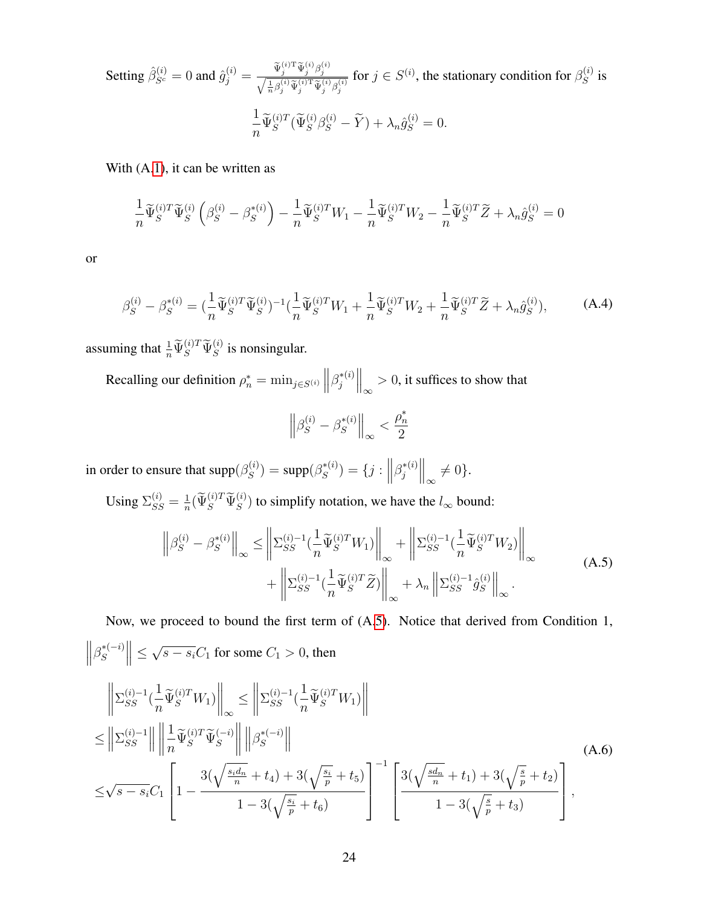Setting 
$$
\hat{\beta}_{S^c}^{(i)} = 0
$$
 and  $\hat{g}_j^{(i)} = \frac{\tilde{\Psi}_j^{(i)T} \tilde{\Psi}_j^{(i)} \beta_j^{(i)}}{\sqrt{\frac{1}{n} \beta_j^{(i)} \tilde{\Psi}_j^{(i)T} \tilde{\Psi}_j^{(i)} \beta_j^{(i)}}}$  for  $j \in S^{(i)}$ , the stationary condition for  $\beta_S^{(i)}$  is\n
$$
\frac{1}{n} \tilde{\Psi}_S^{(i)T} (\tilde{\Psi}_S^{(i)} \beta_S^{(i)} - \tilde{Y}) + \lambda_n \hat{g}_S^{(i)} = 0.
$$

With  $(A.1)$  $(A.1)$ , it can be written as

$$
\frac{1}{n}\widetilde{\Psi}_{S}^{(i)T}\widetilde{\Psi}_{S}^{(i)}\left(\beta_{S}^{(i)}-\beta_{S}^{*(i)}\right)-\frac{1}{n}\widetilde{\Psi}_{S}^{(i)T}W_{1}-\frac{1}{n}\widetilde{\Psi}_{S}^{(i)T}W_{2}-\frac{1}{n}\widetilde{\Psi}_{S}^{(i)T}\widetilde{Z}+\lambda_{n}\widehat{g}_{S}^{(i)}=0
$$

or

<span id="page-23-2"></span>
$$
\beta_S^{(i)} - \beta_S^{*(i)} = \left(\frac{1}{n}\widetilde{\Psi}_S^{(i)T}\widetilde{\Psi}_S^{(i)}\right)^{-1}\left(\frac{1}{n}\widetilde{\Psi}_S^{(i)T}W_1 + \frac{1}{n}\widetilde{\Psi}_S^{(i)T}W_2 + \frac{1}{n}\widetilde{\Psi}_S^{(i)T}\widetilde{Z} + \lambda_n\hat{g}_S^{(i)}\right),\tag{A.4}
$$

assuming that  $\frac{1}{n} \widetilde{\Psi}_S^{(i)T} \widetilde{\Psi}_S^{(i)}$  is nonsingular.

Recalling our definition  $\rho_n^* = \min_{j \in S^{(i)}} \left\| \beta_j^{*(i)} \right\|$  $\left\| \frac{f^{*(i)}}{\infty} \right\|_{\infty} > 0$ , it suffices to show that

$$
\left\|\beta_S^{(i)}-\beta_S^{*(i)}\right\|_\infty<\frac{\rho_n^*}{2}
$$

in order to ensure that  $\text{supp}(\beta_S^{(i)})$  $\binom{s}{S}$  = supp $(\beta_S^{*(i)})$  $S^{*(i)}$ ) = {j :  $||\beta_j^{*(i)}$  $\left.\frac{\partial}{\partial s}\right|_{\infty}^{*}(s)$   $\left|\frac{\partial}{\partial s}\right|_{\infty}\neq 0$ .

Using  $\Sigma_{SS}^{(i)} = \frac{1}{n}$  $\frac{1}{n}(\widetilde{\Psi}_{S}^{(i)T}\widetilde{\Psi}_{S}^{(i)})$  to simplify notation, we have the  $l_{\infty}$  bound:

<span id="page-23-0"></span>
$$
\left\| \beta_S^{(i)} - \beta_S^{*(i)} \right\|_{\infty} \le \left\| \Sigma_{SS}^{(i)-1} \left( \frac{1}{n} \widetilde{\Psi}_S^{(i)T} W_1 \right) \right\|_{\infty} + \left\| \Sigma_{SS}^{(i)-1} \left( \frac{1}{n} \widetilde{\Psi}_S^{(i)T} W_2 \right) \right\|_{\infty} + \left\| \Sigma_{SS}^{(i)-1} \left( \frac{1}{n} \widetilde{\Psi}_S^{(i)T} \widetilde{Z} \right) \right\|_{\infty} + \lambda_n \left\| \Sigma_{SS}^{(i)-1} \widehat{g}_S^{(i)} \right\|_{\infty} .
$$
\n(A.5)

Now, we proceed to bound the first term of (A[.5\)](#page-23-0). Notice that derived from Condition 1,  $\left\|\beta_{S}^{*(-i)}\right\|$  $\left| \begin{matrix} \ast & -i \\ S \end{matrix} \right| \leq$ √  $s - s<sub>i</sub>C<sub>1</sub>$  for some  $C<sub>1</sub> > 0$ , then

<span id="page-23-1"></span>
$$
\left\| \sum_{SS}^{(i)-1} \left( \frac{1}{n} \widetilde{\Psi}_{S}^{(i)T} W_{1} \right) \right\|_{\infty} \leq \left\| \sum_{SS}^{(i)-1} \left( \frac{1}{n} \widetilde{\Psi}_{S}^{(i)T} W_{1} \right) \right\|
$$
\n
$$
\leq \left\| \sum_{SS}^{(i)-1} \right\| \left\| \frac{1}{n} \widetilde{\Psi}_{S}^{(i)T} \widetilde{\Psi}_{S}^{(-i)} \right\| \left\| \beta_{S}^{*(-i)} \right\|
$$
\n
$$
\leq \sqrt{s - s_{i}} C_{1} \left[ 1 - \frac{3(\sqrt{\frac{s_{i} d_{n}}{n} + t_{4}}) + 3(\sqrt{\frac{s_{i}}{p} + t_{5}})}{1 - 3(\sqrt{\frac{s_{i}}{p} + t_{6}})} \right]^{-1} \left[ \frac{3(\sqrt{\frac{s d_{n}}{n} + t_{1}}) + 3(\sqrt{\frac{s}{p} + t_{2}})}{1 - 3(\sqrt{\frac{s}{p} + t_{3}})} \right],
$$
\n(A.6)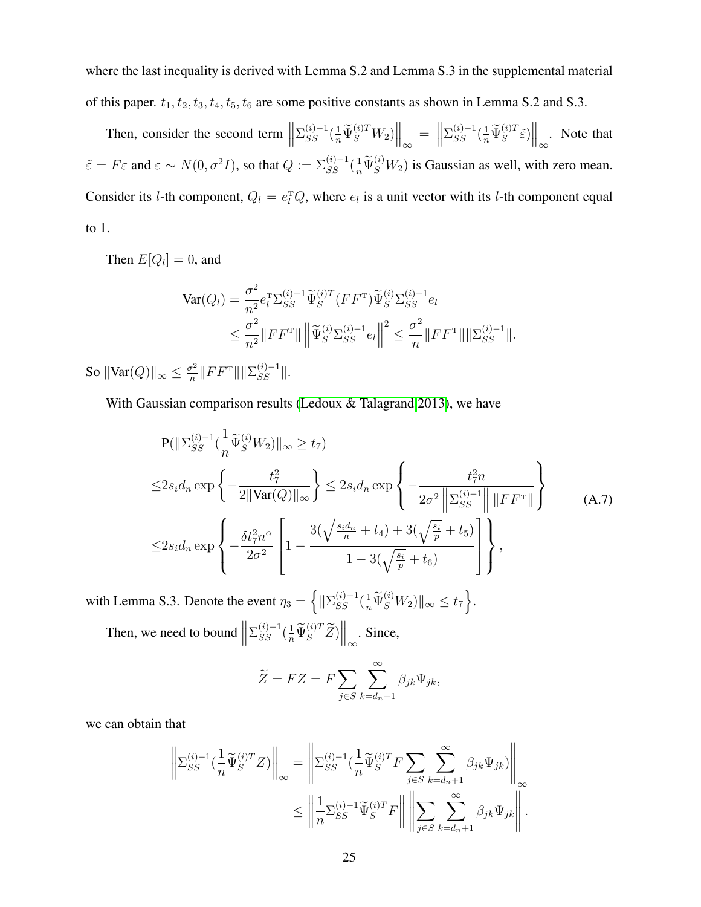where the last inequality is derived with Lemma S.2 and Lemma S.3 in the supplemental material of this paper.  $t_1, t_2, t_3, t_4, t_5, t_6$  are some positive constants as shown in Lemma S.2 and S.3.

Then, consider the second term  $\parallel$  $\left. \frac{\sum_{SS}^{(i)-1}(\frac{1}{n}\widetilde{\Psi}_{S}^{(i)T}W_2)\right\|_{\infty} = \left\| \frac{1}{n} \right\|_{\infty}$  $\sum_{SS}^{(i)-1} \left(\frac{1}{n} \widetilde{\Psi}_{S}^{(i)T} \widetilde{\varepsilon}\right) \bigg|_{\infty}$ . Note that  $\tilde{\varepsilon} = F\varepsilon$  and  $\varepsilon \sim N(0, \sigma^2 I)$ , so that  $Q := \sum_{SS}^{(i)-1} (\frac{1}{n} \tilde{\Psi}_S^{(i)} W_2)$  is Gaussian as well, with zero mean. Consider its *l*-th component,  $Q_l = e_l^T Q$ , where  $e_l$  is a unit vector with its *l*-th component equal to 1.

Then  $E[Q_l] = 0$ , and

$$
\begin{split} \text{Var}(Q_{l}) &= \frac{\sigma^{2}}{n^{2}} e_{l}^{\mathrm{T}} \Sigma_{SS}^{(i)-1} \widetilde{\Psi}_{S}^{(i)T} (FF^{\mathrm{T}}) \widetilde{\Psi}_{S}^{(i)} \Sigma_{SS}^{(i)-1} e_{l} \\ &\leq \frac{\sigma^{2}}{n^{2}} \| FF^{\mathrm{T}} \| \left\| \widetilde{\Psi}_{S}^{(i)} \Sigma_{SS}^{(i)-1} e_{l} \right\|^{2} \leq \frac{\sigma^{2}}{n} \|FF^{\mathrm{T}} \| \|\Sigma_{SS}^{(i)-1} \| . \end{split}
$$

So  $\|\text{Var}(Q)\|_{\infty} \leq \frac{\sigma^2}{n}$  $\frac{\sigma^2}{n}$ || $FF^{\text{T}}$ ||| $|\Sigma_{SS}^{(i)-1}|$ |.

With Gaussian comparison results [\(Ledoux & Talagrand 2013\)](#page-36-9), we have

<span id="page-24-0"></span>
$$
P(||\Sigma_{SS}^{(i)-1}(\frac{1}{n}\tilde{\Psi}_{S}^{(i)}W_{2})||_{\infty} \ge t_{7})
$$
  
\n
$$
\le 2s_{i}d_{n} \exp\left\{-\frac{t_{7}^{2}}{2||\text{Var}(Q)||_{\infty}}\right\} \le 2s_{i}d_{n} \exp\left\{-\frac{t_{7}^{2}n}{2\sigma^{2}||\Sigma_{SS}^{(i)-1}|| ||FF^{T}||}\right\}
$$
  
\n
$$
\le 2s_{i}d_{n} \exp\left\{-\frac{\delta t_{7}^{2}n^{\alpha}}{2\sigma^{2}}\left[1-\frac{3(\sqrt{\frac{s_{i}d_{n}}{n}}+t_{4})+3(\sqrt{\frac{s_{i}}{p}}+t_{5})}{1-3(\sqrt{\frac{s_{i}}{p}}+t_{6})}\right]\right\},
$$
\n(A.7)

with Lemma S.3. Denote the event  $\eta_3 = \left\{ \|\Sigma_{SS}^{(i)-1}(\frac{1}{n}\widetilde{\Psi}_{S}^{(i)}W_2)\|_{\infty} \leq t_7 \right\}$ . Then, we need to bound  $\parallel$  $\Sigma_{SS}^{(i)-1}(\frac{1}{n}\widetilde{\Psi}_{S}^{(i)T}\widetilde{Z})\Big\|_{\infty}$ . Since,

$$
\widetilde{Z} = FZ = F \sum_{j \in S} \sum_{k=d_n+1}^{\infty} \beta_{jk} \Psi_{jk},
$$

we can obtain that

$$
\left\| \Sigma_{SS}^{(i)-1}(\frac{1}{n}\widetilde{\Psi}_{S}^{(i)T}Z) \right\|_{\infty} = \left\| \Sigma_{SS}^{(i)-1}(\frac{1}{n}\widetilde{\Psi}_{S}^{(i)T}F\sum_{j\in S}\sum_{k=d_{n}+1}^{\infty}\beta_{jk}\Psi_{jk}) \right\|_{\infty}
$$
  

$$
\leq \left\| \frac{1}{n}\Sigma_{SS}^{(i)-1}\widetilde{\Psi}_{S}^{(i)T}F \right\| \left\| \sum_{j\in S}\sum_{k=d_{n}+1}^{\infty}\beta_{jk}\Psi_{jk} \right\|.
$$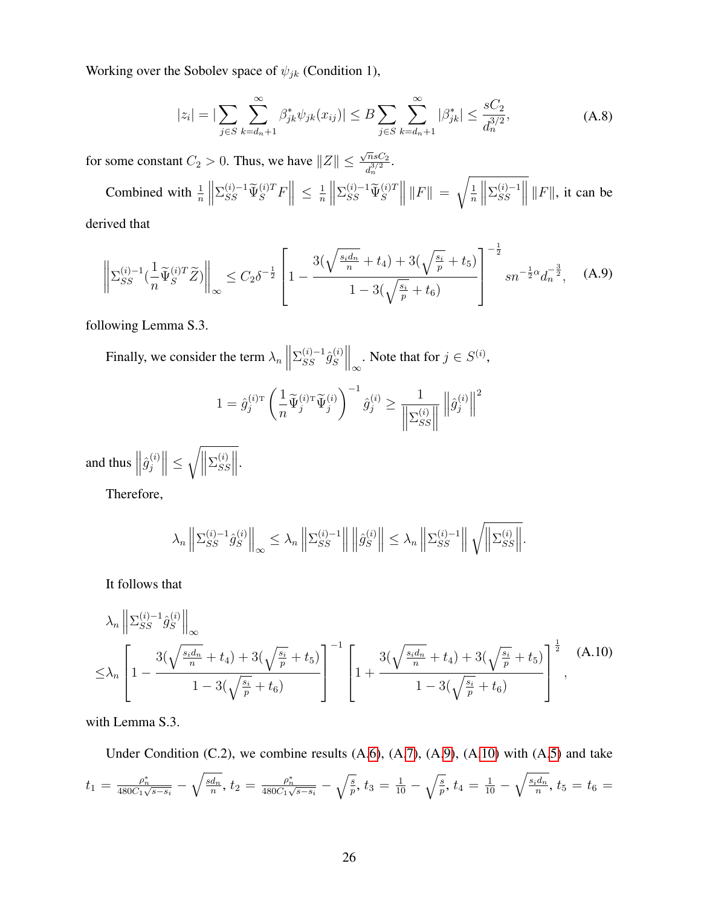Working over the Sobolev space of  $\psi_{jk}$  (Condition 1),

<span id="page-25-2"></span>
$$
|z_i| = |\sum_{j \in S} \sum_{k=d_n+1}^{\infty} \beta_{jk}^* \psi_{jk}(x_{ij})| \le B \sum_{j \in S} \sum_{k=d_n+1}^{\infty} |\beta_{jk}^*| \le \frac{sC_2}{d_n^{3/2}},
$$
 (A.8)

for some constant  $C_2 > 0$ . Thus, we have  $||Z|| \le$  $\sqrt{n} sC_2$  $\frac{n s C_2}{d_n^{3/2}}.$ 

Combined with  $\frac{1}{n}$  $\begin{array}{c} \hline \textbf{1} \\ \textbf{2} \\ \textbf{3} \end{array}$  $\sum_{SS}^{(i)-1} \widetilde{\Psi}_{S}^{(i)T} F \Big\| \leq \frac{1}{n}$ n  $\bigg\}$  $\Sigma_{SS}^{(i)-1} \widetilde{\Psi}_{S}^{(i)T}$  ||  $|F|$  =  $\sqrt{1}$ n  $\begin{array}{c} \hline \textbf{1} \\ \textbf{2} \\ \textbf{3} \end{array}$  $\Sigma_{SS}^{(i)-1}$  $\begin{array}{c} (i)-1 \ S S \end{array}$  ||  $\Vert F \Vert$ , it can be

derived that

<span id="page-25-0"></span>
$$
\left\| \Sigma_{SS}^{(i)-1}(\frac{1}{n}\widetilde{\Psi}_S^{(i)T} \widetilde{Z}) \right\|_{\infty} \le C_2 \delta^{-\frac{1}{2}} \left[ 1 - \frac{3(\sqrt{\frac{s_i d_n}{n}} + t_4) + 3(\sqrt{\frac{s_i}{p}} + t_5)}{1 - 3(\sqrt{\frac{s_i}{p}} + t_6)} \right]^{-\frac{1}{2}} sn^{-\frac{1}{2}\alpha} d_n^{-\frac{3}{2}}, \quad (A.9)
$$

following Lemma S.3.

Finally, we consider the term  $\lambda_n$  ||  $\Sigma_{SS}^{(i)-1}\hat{g}_{S}^{(i)}$  $S^{(i)}\Big\|_{\infty}$ . Note that for  $j \in S^{(i)}$ ,

$$
1 = \hat{g}_j^{(i)\text{\tiny T}} \left(\frac{1}{n} \widetilde{\Psi}_j^{(i)\text{\tiny T}} \widetilde{\Psi}_j^{(i)}\right)^{-1} \hat{g}_j^{(i)} \ge \frac{1}{\left\|\Sigma_{SS}^{(i)}\right\|} \left\|\hat{g}_j^{(i)}\right\|^2
$$

and thus  $\left\|\hat{g}_j^{(i)}\right\|$  $\left\| \frac{j}{j} \right\| \leq$  $\sqrt{\Vert}$  $\Sigma^{(i)}_{S^c}$  $\begin{vmatrix} i \\ SS \end{vmatrix}$ .

Therefore,

$$
\lambda_n \left\| \Sigma_{SS}^{(i)-1} \hat{g}_S^{(i)} \right\|_{\infty} \leq \lambda_n \left\| \Sigma_{SS}^{(i)-1} \right\| \left\| \hat{g}_S^{(i)} \right\| \leq \lambda_n \left\| \Sigma_{SS}^{(i)-1} \right\| \sqrt{\left\| \Sigma_{SS}^{(i)} \right\|}.
$$

It follows that

<span id="page-25-1"></span>
$$
\lambda_n \left\| \Sigma_{SS}^{(i)-1} \hat{g}_S^{(i)} \right\|_{\infty} \n\leq \lambda_n \left[ 1 - \frac{3(\sqrt{\frac{s_i d_n}{n}} + t_4) + 3(\sqrt{\frac{s_i}{p}} + t_5)}{1 - 3(\sqrt{\frac{s_i}{p}} + t_6)} \right]^{-1} \left[ 1 + \frac{3(\sqrt{\frac{s_i d_n}{n}} + t_4) + 3(\sqrt{\frac{s_i}{p}} + t_5)}{1 - 3(\sqrt{\frac{s_i}{p}} + t_6)} \right]^{\frac{1}{2}} ,
$$
\n(A.10)

with Lemma S.3.

Under Condition  $(C.2)$ , we combine results  $(A.6)$  $(A.6)$ ,  $(A.7)$  $(A.7)$ ,  $(A.9)$  $(A.9)$ ,  $(A.10)$  $(A.10)$  with  $(A.5)$  $(A.5)$  and take  $t_1=\frac{\rho_n^*}{480C_1\sqrt{s-s_i}}-\sqrt{\frac{sd_n}{n}}$  $\overline{\frac{d_n}{n}},\, t_2=\frac{\rho_n^*}{480C_1\sqrt{s-s_i}}-\sqrt{\frac{s}{p}},\, t_3=\frac{1}{10}-\sqrt{\frac{s}{p}},\, t_4=\frac{1}{10}-\sqrt{\frac{s_id_n}{n}}$  $\frac{d_n}{n}$ ,  $t_5 = t_6 =$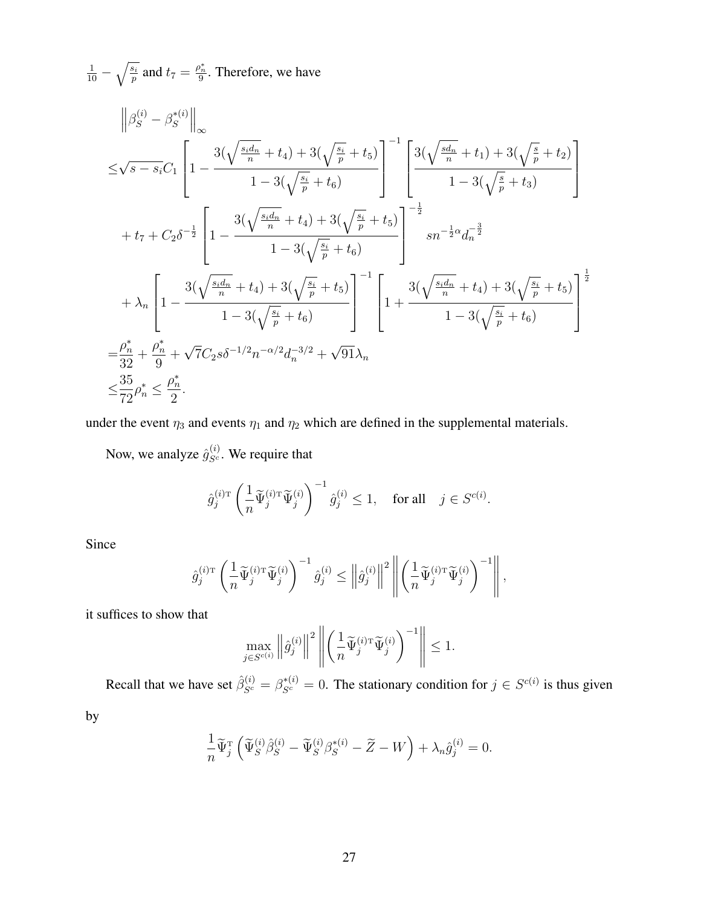$\frac{1}{10} - \sqrt{\frac{s_i}{p}}$  and  $t_7 = \frac{\rho_n^*}{9}$ . Therefore, we have

$$
\left\|\beta_{S}^{(i)} - \beta_{S}^{*(i)}\right\|_{\infty} \leq \sqrt{s - s_{i}}C_{1} \left[1 - \frac{3(\sqrt{\frac{s_{i}d_{n}}{n}} + t_{4}) + 3(\sqrt{\frac{s_{i}}{p}} + t_{5})}{1 - 3(\sqrt{\frac{s_{i}}{p}} + t_{6})}\right]^{-1} \left[\frac{3(\sqrt{\frac{s d_{n}}{n}} + t_{1}) + 3(\sqrt{\frac{s}{p}} + t_{2})}{1 - 3(\sqrt{\frac{s}{p}} + t_{3})}\right] + t_{7} + C_{2}\delta^{-\frac{1}{2}} \left[1 - \frac{3(\sqrt{\frac{s_{i}d_{n}}{n}} + t_{4}) + 3(\sqrt{\frac{s_{i}}{p}} + t_{5})}{1 - 3(\sqrt{\frac{s_{i}}{p}} + t_{6})}\right]^{-\frac{1}{2}} s n^{-\frac{1}{2}\alpha} d_{n}^{-\frac{3}{2}}
$$
  
+  $\lambda_{n} \left[1 - \frac{3(\sqrt{\frac{s_{i}d_{n}}{n}} + t_{4}) + 3(\sqrt{\frac{s_{i}}{p}} + t_{5})}{1 - 3(\sqrt{\frac{s_{i}}{p}} + t_{6})}\right]^{-1} \left[1 + \frac{3(\sqrt{\frac{s_{i}d_{n}}{n}} + t_{4}) + 3(\sqrt{\frac{s_{i}}{p}} + t_{5})}{1 - 3(\sqrt{\frac{s_{i}}{p}} + t_{6})}\right]^{\frac{1}{2}}$   
=  $\frac{\rho_{n}^{*}}{32} + \frac{\rho_{n}^{*}}{9} + \sqrt{7}C_{2}s\delta^{-1/2}n^{-\alpha/2}d_{n}^{-3/2} + \sqrt{91}\lambda_{n}$   
 $\leq \frac{35}{72}\rho_{n}^{*} \leq \frac{\rho_{n}^{*}}{2}.$ 

under the event  $\eta_3$  and events  $\eta_1$  and  $\eta_2$  which are defined in the supplemental materials.

Now, we analyze  $\hat{g}_{S^c}^{(i)}$ . We require that

$$
\hat{g}_j^{(i)\mathrm{T}}\left(\frac{1}{n}\widetilde{\Psi}_j^{(i)\mathrm{T}}\widetilde{\Psi}_j^{(i)}\right)^{-1}\hat{g}_j^{(i)} \le 1, \quad \text{for all} \quad j \in S^{c(i)}.
$$

Since

$$
\hat{g}_j^{(i)\texttt{T}} \left( \frac{1}{n} \widetilde{\Psi}_j^{(i)\texttt{T}} \widetilde{\Psi}_j^{(i)} \right)^{-1} \hat{g}_j^{(i)} \leq \left\| \hat{g}_j^{(i)} \right\|^2 \left\| \left( \frac{1}{n} \widetilde{\Psi}_j^{(i)\texttt{T}} \widetilde{\Psi}_j^{(i)} \right)^{-1} \right\|,
$$

it suffices to show that

$$
\max_{j \in S^{c(i)}} \left\| \hat{g}_j^{(i)} \right\|^2 \left\| \left( \frac{1}{n} \widetilde{\Psi}_j^{(i) \mathrm{T}} \widetilde{\Psi}_j^{(i)} \right)^{-1} \right\| \le 1.
$$

Recall that we have set  $\hat{\beta}_{S^c}^{(i)} = \beta_{S^c}^{*(i)} = 0$ . The stationary condition for  $j \in S^{c(i)}$  is thus given

by

$$
\frac{1}{n}\widetilde{\Psi}_{j}^{\mathrm{T}}\left(\widetilde{\Psi}_{S}^{(i)}\widehat{\beta}_{S}^{(i)}-\widetilde{\Psi}_{S}^{(i)}\beta_{S}^{*(i)}-\widetilde{Z}-W\right)+\lambda_{n}\widehat{g}_{j}^{(i)}=0.
$$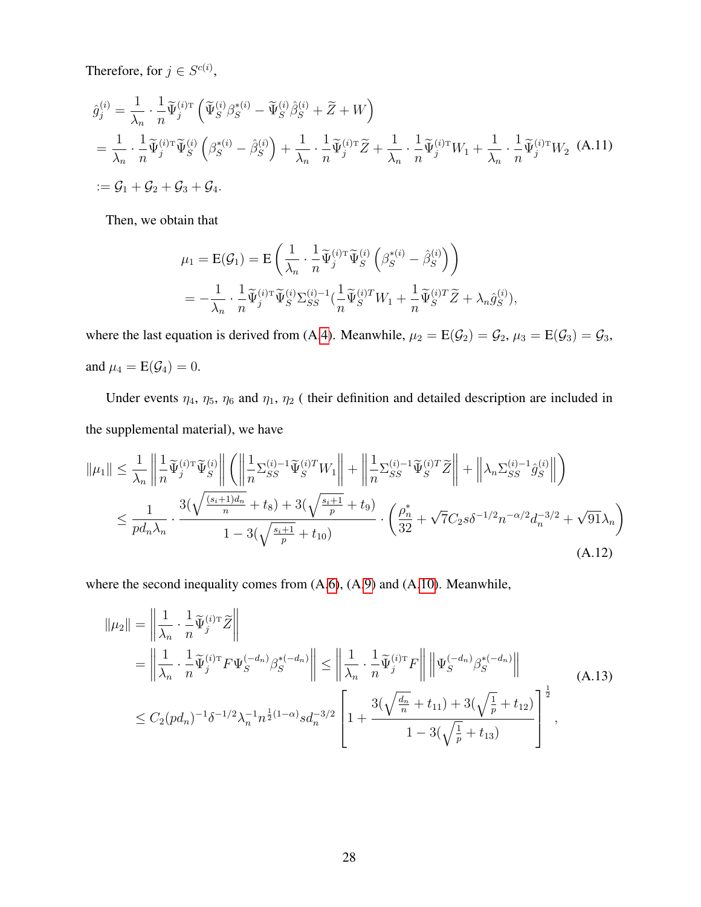Therefore, for  $j \in S^{c(i)}$ ,

$$
\hat{g}_j^{(i)} = \frac{1}{\lambda_n} \cdot \frac{1}{n} \widetilde{\Psi}_j^{(i)\mathrm{T}} \left( \widetilde{\Psi}_S^{(i)} \beta_S^{*(i)} - \widetilde{\Psi}_S^{(i)} \beta_S^{(i)} + \widetilde{Z} + W \right)
$$
\n
$$
= \frac{1}{\lambda_n} \cdot \frac{1}{n} \widetilde{\Psi}_j^{(i)\mathrm{T}} \widetilde{\Psi}_S^{(i)} \left( \beta_S^{*(i)} - \beta_S^{(i)} \right) + \frac{1}{\lambda_n} \cdot \frac{1}{n} \widetilde{\Psi}_j^{(i)\mathrm{T}} \widetilde{Z} + \frac{1}{\lambda_n} \cdot \frac{1}{n} \widetilde{\Psi}_j^{(i)\mathrm{T}} W_1 + \frac{1}{\lambda_n} \cdot \frac{1}{n} \widetilde{\Psi}_j^{(i)\mathrm{T}} W_2 \quad \text{(A.11)}
$$
\n
$$
:= \mathcal{G}_1 + \mathcal{G}_2 + \mathcal{G}_3 + \mathcal{G}_4.
$$

Then, we obtain that

$$
\mu_1 = \mathbf{E}(\mathcal{G}_1) = \mathbf{E} \left( \frac{1}{\lambda_n} \cdot \frac{1}{n} \widetilde{\Psi}_{j}^{(i)T} \widetilde{\Psi}_{S}^{(i)} \left( \beta_S^{*(i)} - \widehat{\beta}_S^{(i)} \right) \right)
$$
  
= 
$$
- \frac{1}{\lambda_n} \cdot \frac{1}{n} \widetilde{\Psi}_{j}^{(i)T} \widetilde{\Psi}_{S}^{(i)} \Sigma_{SS}^{(i)-1} \left( \frac{1}{n} \widetilde{\Psi}_{S}^{(i)T} W_1 + \frac{1}{n} \widetilde{\Psi}_{S}^{(i)T} \widetilde{Z} + \lambda_n \widehat{g}_{S}^{(i)} \right),
$$

where the last equation is derived from (A[.4\)](#page-23-2). Meanwhile,  $\mu_2 = E(\mathcal{G}_2) = \mathcal{G}_2$ ,  $\mu_3 = E(\mathcal{G}_3) = \mathcal{G}_3$ , and  $\mu_4 = E(\mathcal{G}_4) = 0$ .

Under events  $\eta_4$ ,  $\eta_5$ ,  $\eta_6$  and  $\eta_1$ ,  $\eta_2$  (their definition and detailed description are included in the supplemental material), we have

$$
\|\mu_{1}\| \leq \frac{1}{\lambda_{n}} \left\| \frac{1}{n} \widetilde{\Psi}_{j}^{(i) \mathrm{T}} \widetilde{\Psi}_{S}^{(i)} \right\| \left( \left\| \frac{1}{n} \Sigma_{SS}^{(i) - 1} \widetilde{\Psi}_{S}^{(i) T} W_{1} \right\| + \left\| \frac{1}{n} \Sigma_{SS}^{(i) - 1} \widetilde{\Psi}_{S}^{(i) T} \widetilde{Z} \right\| + \left\| \lambda_{n} \Sigma_{SS}^{(i) - 1} \widehat{g}_{S}^{(i)} \right\| \right) \leq \frac{1}{p d_{n} \lambda_{n}} \cdot \frac{3(\sqrt{\frac{(s_{i} + 1) d_{n}}{n} + t_{8}}) + 3(\sqrt{\frac{s_{i} + 1}{p} + t_{9}})}{1 - 3(\sqrt{\frac{s_{i} + 1}{p} + t_{10}})} \cdot \left( \frac{\rho_{n}^{*}}{32} + \sqrt{7} C_{2} s \delta^{-1/2} n^{-\alpha/2} d_{n}^{-3/2} + \sqrt{91} \lambda_{n} \right) \tag{A.12}
$$

where the second inequality comes from  $(A.6)$  $(A.6)$ ,  $(A.9)$  $(A.9)$  and  $(A.10)$  $(A.10)$ . Meanwhile,

$$
\|\mu_2\| = \left\| \frac{1}{\lambda_n} \cdot \frac{1}{n} \widetilde{\Psi}_j^{(i) \mathrm{T}} \widetilde{Z} \right\|
$$
  
\n
$$
= \left\| \frac{1}{\lambda_n} \cdot \frac{1}{n} \widetilde{\Psi}_j^{(i) \mathrm{T}} F \Psi_S^{(-d_n)} \beta_S^{*(-d_n)} \right\| \le \left\| \frac{1}{\lambda_n} \cdot \frac{1}{n} \widetilde{\Psi}_j^{(i) \mathrm{T}} F \right\| \left\| \Psi_S^{(-d_n)} \beta_S^{*(-d_n)} \right\|
$$
  
\n
$$
\le C_2 (pd_n)^{-1} \delta^{-1/2} \lambda_n^{-1} n^{\frac{1}{2}(1-\alpha)} s d_n^{-3/2} \left[ 1 + \frac{3(\sqrt{\frac{d_n}{n}} + t_{11}) + 3(\sqrt{\frac{1}{p}} + t_{12})}{1 - 3(\sqrt{\frac{1}{p}} + t_{13})} \right]^{\frac{1}{2}},
$$
\n(A.13)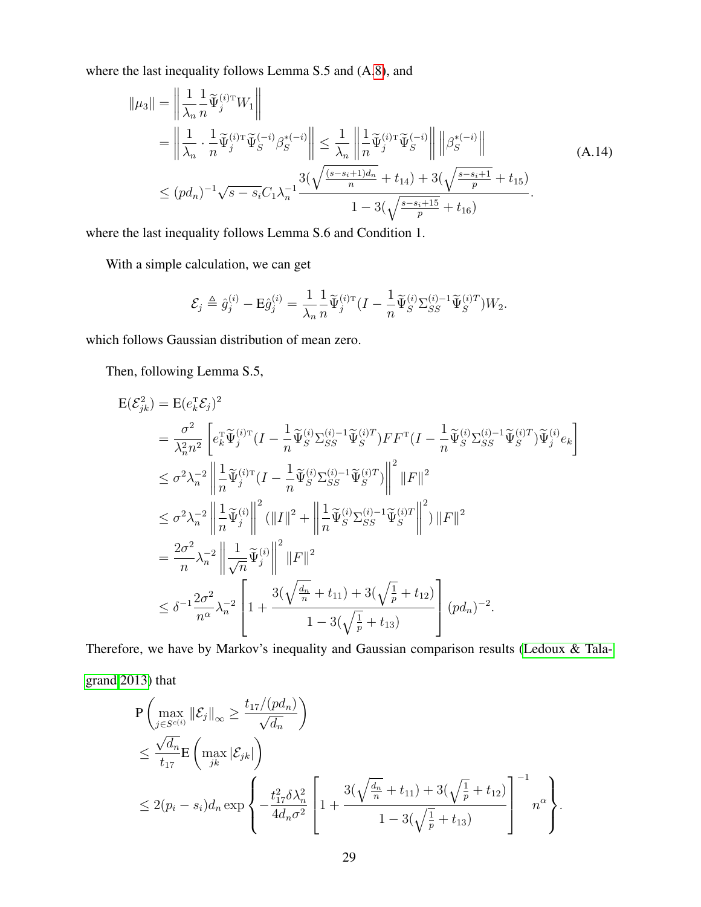where the last inequality follows Lemma S.5 and (A[.8\)](#page-25-2), and

$$
\|\mu_3\| = \left\|\frac{1}{\lambda_n} \frac{1}{n} \widetilde{\Psi}_j^{(i)\mathrm{T}} W_1\right\|
$$
  
\n
$$
= \left\|\frac{1}{\lambda_n} \cdot \frac{1}{n} \widetilde{\Psi}_j^{(i)\mathrm{T}} \widetilde{\Psi}_S^{(-i)} \beta_S^{*(-i)}\right\| \le \frac{1}{\lambda_n} \left\|\frac{1}{n} \widetilde{\Psi}_j^{(i)\mathrm{T}} \widetilde{\Psi}_S^{(-i)}\right\| \left\|\beta_S^{*(-i)}\right\|
$$
  
\n
$$
\le (pd_n)^{-1} \sqrt{s - s_i} C_1 \lambda_n^{-1} \frac{3(\sqrt{\frac{(s - s_i + 1)d_n}{n} + t_{14}}) + 3(\sqrt{\frac{s - s_i + 1}{p} + t_{15}})}{1 - 3(\sqrt{\frac{s - s_i + 15}{p} + t_{16}})}.
$$
\n(A.14)

where the last inequality follows Lemma S.6 and Condition 1.

With a simple calculation, we can get

$$
\mathcal{E}_j \triangleq \hat{g}_j^{(i)} - \mathbf{E}\hat{g}_j^{(i)} = \frac{1}{\lambda_n} \frac{1}{n} \widetilde{\Psi}_j^{(i)\mathrm{T}} \big( I - \frac{1}{n} \widetilde{\Psi}_S^{(i)} \Sigma_{SS}^{(i)-1} \widetilde{\Psi}_S^{(i)T} \big) W_2.
$$

which follows Gaussian distribution of mean zero.

Then, following Lemma S.5,

$$
\begin{split} \mathbf{E}(\mathcal{E}_{jk}^{2}) &= \mathbf{E}(e_{k}^{\mathrm{T}}\mathcal{E}_{j})^{2} \\ &= \frac{\sigma^{2}}{\lambda_{n}^{2}n^{2}}\left[e_{k}^{\mathrm{T}}\widetilde{\Psi}_{j}^{(i)\mathrm{T}}\left(I-\frac{1}{n}\widetilde{\Psi}_{S}^{(i)}\Sigma_{SS}^{(i)-1}\widetilde{\Psi}_{S}^{(i)T}\right)F F^{\mathrm{T}}\left(I-\frac{1}{n}\widetilde{\Psi}_{S}^{(i)}\Sigma_{SS}^{(i)-1}\widetilde{\Psi}_{S}^{(i)T}\right)\widetilde{\Psi}_{j}^{(i)}e_{k}\right] \\ &\leq \sigma^{2}\lambda_{n}^{-2}\left\|\frac{1}{n}\widetilde{\Psi}_{j}^{(i)\mathrm{T}}\left(I-\frac{1}{n}\widetilde{\Psi}_{S}^{(i)}\Sigma_{SS}^{(i)-1}\widetilde{\Psi}_{S}^{(i)T}\right)\right\|^{2}\|F\|^{2} \\ &\leq \sigma^{2}\lambda_{n}^{-2}\left\|\frac{1}{n}\widetilde{\Psi}_{j}^{(i)}\right\|^{2}\left(\|I\|^{2}+\left\|\frac{1}{n}\widetilde{\Psi}_{S}^{(i)}\Sigma_{SS}^{(i)-1}\widetilde{\Psi}_{S}^{(i)T}\right\|^{2}\right)\|F\|^{2} \\ &= \frac{2\sigma^{2}}{n}\lambda_{n}^{-2}\left\|\frac{1}{\sqrt{n}}\widetilde{\Psi}_{j}^{(i)}\right\|^{2}\|F\|^{2} \\ &\leq \delta^{-1}\frac{2\sigma^{2}}{n^{\alpha}}\lambda_{n}^{-2}\left[1+\frac{3(\sqrt{\frac{d_{n}}{n}}+t_{11})+3(\sqrt{\frac{1}{p}}+t_{12})}{1-3(\sqrt{\frac{1}{p}}+t_{13})}\right](pd_{n})^{-2} .\end{split}
$$

Therefore, we have by Markov's inequality and Gaussian comparison results [\(Ledoux & Tala-](#page-36-9)

[grand 2013\)](#page-36-9) that

$$
\begin{split} &P\left(\max_{j\in S^{c(i)}}\|\mathcal{E}_j\|_{\infty}\geq \frac{t_{17}/(pd_n)}{\sqrt{d_n}}\right) \\ &\leq \frac{\sqrt{d_n}}{t_{17}}\mathbf{E}\left(\max_{jk}|\mathcal{E}_{jk}|\right) \\ &\leq 2(p_i-s_i)d_n\exp\left\{-\frac{t_{17}^2\delta\lambda_n^2}{4d_n\sigma^2}\left[1+\frac{3(\sqrt{\frac{d_n}{n}}+t_{11})+3(\sqrt{\frac{1}{p}}+t_{12})}{1-3(\sqrt{\frac{1}{p}}+t_{13})}\right]^{-1}n^{\alpha}\right\}. \end{split}
$$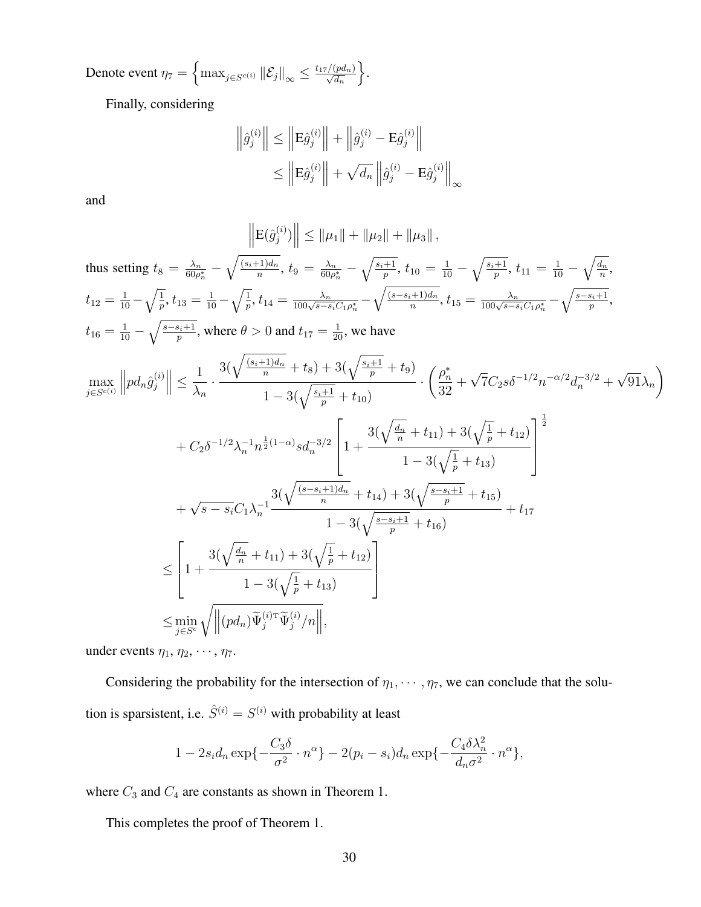Denote event  $\eta_7 = \left\{\max_{j \in S^{c(i)}} \left\|\mathcal{E}_j\right\|_\infty \leq \frac{t_{17}/(pd_n)}{\sqrt{d_n}} \right\}$  $\big\}$ .

Finally, considering

$$
\left\| \hat{g}_{j}^{(i)} \right\| \le \left\| \mathbf{E} \hat{g}_{j}^{(i)} \right\| + \left\| \hat{g}_{j}^{(i)} - \mathbf{E} \hat{g}_{j}^{(i)} \right\|
$$
  

$$
\le \left\| \mathbf{E} \hat{g}_{j}^{(i)} \right\| + \sqrt{d_{n}} \left\| \hat{g}_{j}^{(i)} - \mathbf{E} \hat{g}_{j}^{(i)} \right\|_{\infty}
$$

and

$$
\left\| E(\hat{g}_{j}^{(i)}) \right\| \leq \| \mu_{1} \| + \| \mu_{2} \| + \| \mu_{3} \|,
$$
\nthus setting  $t_{8} = \frac{\lambda_{n}}{60\rho_{n}^{+}} - \sqrt{\frac{(s_{i}+1)}{n}d_{n}}$ ,  $t_{9} = \frac{\lambda_{n}}{60\rho_{n}^{+}} - \sqrt{\frac{s_{i}+1}{p}}$ ,  $t_{10} = \frac{1}{10} - \sqrt{\frac{s_{i}}{p}}$ ,  $t_{11} = \frac{1}{10} - \sqrt{\frac{d_{n}}{n}}$ ,  $t_{12} = \frac{1}{10} - \sqrt{\frac{1}{p}}$ ,  $t_{13} = \frac{1}{10} - \sqrt{\frac{1}{p}}$ ,  $t_{14} = \frac{\lambda_{n}}{100\sqrt{s-s_{i}}\rho_{n}^{+}} - \sqrt{\frac{(s-s_{i}+1)d_{n}}{n}}$ ,  $t_{15} = \frac{\lambda_{n}}{100\sqrt{s-s_{i}}\rho_{n}^{+}} - \sqrt{\frac{s-s_{i}+1}{p}}$ ,  $t_{16} = \frac{1}{10} - \sqrt{\frac{s-s_{i}+1}{p}}$ , where  $\theta > 0$  and  $t_{17} = \frac{1}{20}$ , we have\n
$$
\max_{j \in S^{c(i)}} \left\| p d_{n} \hat{g}_{j}^{(i)} \right\| \leq \frac{1}{\lambda_{n}} \cdot \frac{3(\sqrt{\frac{(s_{i}+1)d_{n}}{n}} + t_{8}) + 3(\sqrt{\frac{s_{i}+1}{p}} + t_{9})}{1 - 3(\sqrt{\frac{s_{i}+1}{p}} + t_{10})} \cdot \left(\frac{\rho_{n}^{*}}{32} + \sqrt{7}C_{2}s\delta^{-1/2}n^{-\alpha/2}d_{n}^{-3/2} + \sqrt{91}\lambda_{n}\right) + C_{2}\delta^{-1/2}\lambda_{n}^{-1}n^{\frac{1}{2}(1-\alpha)}sd_{n}^{-3/2} \left[1 + \frac{3(\sqrt{\frac{d_{n}}{n}} + t_{11}) + 3(\sqrt{\frac{1}{p}} + t_{12})}{1 - 3(\sqrt{\frac{1}{p}} + t_{13})}\right]^{1}
$$
\n
$$
+ \sqrt{s-s_{i}}C_{1}\lambda_{n}^{-1
$$

under events  $\eta_1, \eta_2, \cdots, \eta_7$ .

Considering the probability for the intersection of  $\eta_1, \dots, \eta_7$ , we can conclude that the solution is sparsistent, i.e.  $\hat{S}^{(i)} = S^{(i)}$  with probability at least

$$
1 - 2s_i d_n \exp\{-\frac{C_3 \delta}{\sigma^2} \cdot n^{\alpha}\} - 2(p_i - s_i) d_n \exp\{-\frac{C_4 \delta \lambda_n^2}{d_n \sigma^2} \cdot n^{\alpha}\},
$$

where  $C_3$  and  $C_4$  are constants as shown in Theorem 1.

This completes the proof of Theorem 1.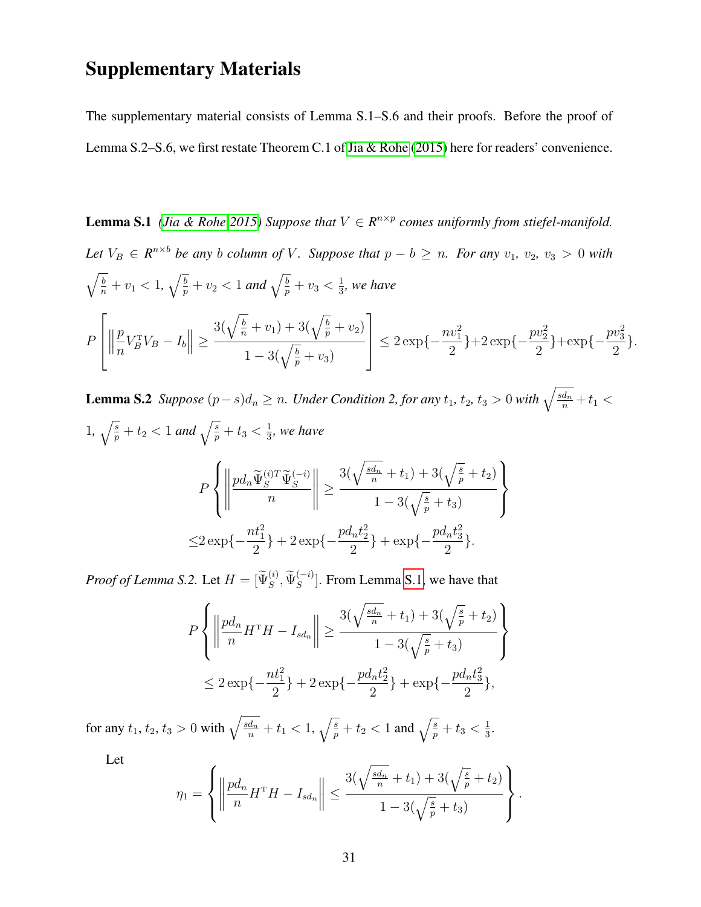### Supplementary Materials

<span id="page-30-0"></span>The supplementary material consists of Lemma S.1–S.6 and their proofs. Before the proof of Lemma S.2–S.6, we first restate Theorem C.1 of [Jia & Rohe](#page-36-6) [\(2015\)](#page-36-6) here for readers' convenience.

**Lemma S.1** *[\(Jia & Rohe 2015\)](#page-36-6)* Suppose that  $V \in R^{n \times p}$  comes uniformly from stiefel-manifold. *Let*  $V_B \in R^{n \times b}$  *be any b column of V*. Suppose that  $p - b \ge n$ . For any  $v_1$ ,  $v_2$ ,  $v_3 > 0$  *with*  $\sqrt{\frac{b}{n}} + v_1 < 1$ ,  $\sqrt{\frac{b}{p}} + v_2 < 1$  and  $\sqrt{\frac{b}{p}} + v_3 < \frac{1}{3}$  $\frac{1}{3}$ , we have P  $\sqrt{ }$  $\left| \right|$  $\begin{array}{c} \begin{array}{c} \begin{array}{c} \end{array}\\ \end{array} \end{array}$ p n  $V_B^{\mathrm{T}}V_B - I_b\| \geq$  $3(\sqrt{\frac{b}{n}} + v_1) + 3(\sqrt{\frac{b}{p}} + v_2)$  $1 - 3(\sqrt{\frac{b}{p}} + v_3)$ 1  $\left| \right| \leq 2 \exp \{-\frac{nv_1^2}{2}$ 2  $\}+2 \exp\{-\frac{pv_2^2}{2}\}$ 2  $\}+\exp\{-\frac{pv_3^2}{2}\}$ 2 }.

**Lemma S.2** Suppose  $(p-s)d_n ≥ n$ . Under Condition 2, for any  $t_1$ ,  $t_2$ ,  $t_3 > 0$  with  $\sqrt{\frac{sd_n}{n}} + t_1 <$ 1,  $\sqrt{\frac{s}{p}} + t_2 < 1$  and  $\sqrt{\frac{s}{p}} + t_3 < \frac{1}{3}$  $\frac{1}{3}$ , we have P  $\sqrt{ }$  $\int$  $\overline{\mathcal{L}}$   $pd_n\widetilde{\Psi}^{(i)T}_S\widetilde{\Psi}^{(-i)}_S$ n ≥  $3(\sqrt{\frac{sd_n}{n}} + t_1) + 3(\sqrt{\frac{s}{p}} + t_2)$  $1 - 3(\sqrt{\frac{s}{p}} + t_3)$  $\mathcal{L}$  $\overline{\mathcal{L}}$  $\int$  $\leq 2 \exp\left\{-\frac{nt_1^2}{2}\right\}$ } + 2 exp{ $-\frac{pd_nt_2^2}{2}$ } + exp{ $-\frac{pd_nt_3^2}{2}$ }.

2

2

*Proof of Lemma S.2.* Let  $H = [\widetilde{\Psi}_S^{(i)}, \widetilde{\Psi}_S^{(-i)}]$ . From Lemma [S.1,](#page-30-0) we have that

2

$$
P\left\{ \left\| \frac{pd_n}{n} H^{\mathrm{T}} H - I_{sd_n} \right\| \ge \frac{3(\sqrt{\frac{sd_n}{n}} + t_1) + 3(\sqrt{\frac{s}{p}} + t_2)}{1 - 3(\sqrt{\frac{s}{p}} + t_3)} \right\}
$$
  

$$
\le 2 \exp\{-\frac{nt_1^2}{2}\} + 2 \exp\{-\frac{pd_nt_2^2}{2}\} + \exp\{-\frac{pd_nt_3^2}{2}\},
$$

for any  $t_1, t_2, t_3 > 0$  with  $\sqrt{\frac{sd_n}{n}} + t_1 < 1$ ,  $\sqrt{\frac{s}{p}} + t_2 < 1$  and  $\sqrt{\frac{s}{p}} + t_3 < \frac{1}{3}$  $\frac{1}{3}$ .

Let

$$
\eta_1 = \left\{ \left\| \frac{pd_n}{n} H^{\mathrm{T}} H - I_{sd_n} \right\| \le \frac{3(\sqrt{\frac{sd_n}{n}} + t_1) + 3(\sqrt{\frac{s}{p}} + t_2)}{1 - 3(\sqrt{\frac{s}{p}} + t_3)} \right\}.
$$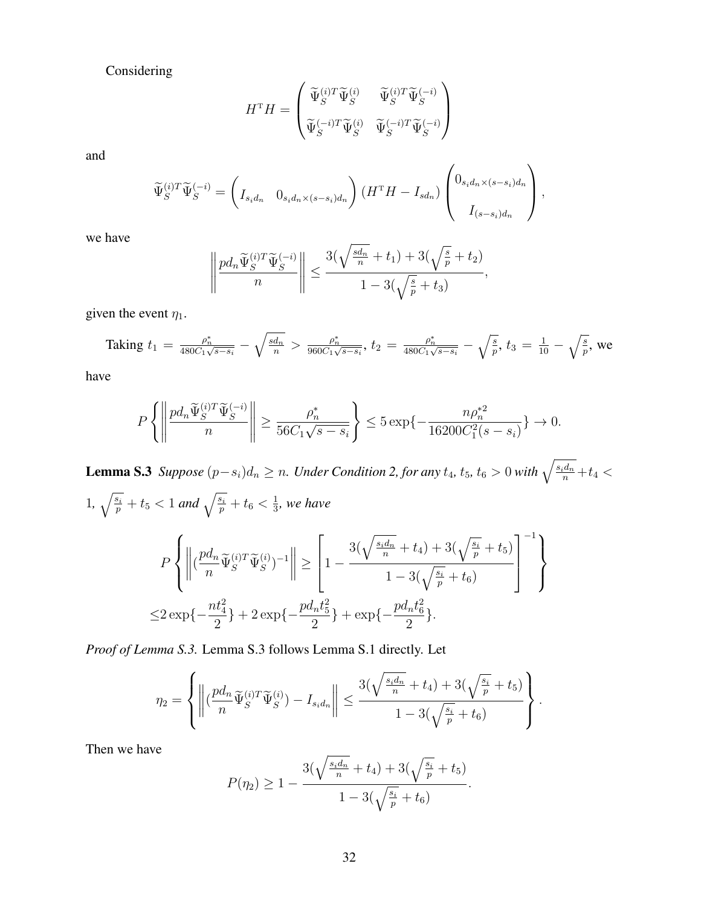Considering

$$
H^{\mathrm{T}}H = \begin{pmatrix} \widetilde{\Psi}_{S}^{(i)T} \widetilde{\Psi}_{S}^{(i)} & \widetilde{\Psi}_{S}^{(i)T} \widetilde{\Psi}_{S}^{(-i)} \\ \widetilde{\Psi}_{S}^{(-i)T} \widetilde{\Psi}_{S}^{(i)} & \widetilde{\Psi}_{S}^{(-i)T} \widetilde{\Psi}_{S}^{(-i)} \end{pmatrix}
$$

and

$$
\widetilde{\Psi}_{S}^{(i)T}\widetilde{\Psi}_{S}^{(-i)} = \left(I_{s_{i}d_{n}} \quad 0_{s_{i}d_{n}\times(s-s_{i})d_{n}}\right) \left(H^{T}H - I_{sd_{n}}\right) \left(\begin{array}{c} 0_{s_{i}d_{n}\times(s-s_{i})d_{n}} \\ I_{(s-s_{i})d_{n}} \end{array}\right),
$$

we have

$$
\left\|\frac{pd_n\widetilde{\Psi}^{(i)T}_{S}\widetilde{\Psi}^{(-i)}_{S}}{n}\right\|\leq \frac{3(\sqrt{\frac{sd_n}{n}}+t_1)+3(\sqrt{\frac{s}{p}}+t_2)}{1-3(\sqrt{\frac{s}{p}}+t_3)},
$$

given the event  $\eta_1$ .

Taking 
$$
t_1 = \frac{\rho_n^*}{480C_1\sqrt{s-s_i}} - \sqrt{\frac{sd_n}{n}} > \frac{\rho_n^*}{960C_1\sqrt{s-s_i}}, t_2 = \frac{\rho_n^*}{480C_1\sqrt{s-s_i}} - \sqrt{\frac{s}{p}}, t_3 = \frac{1}{10} - \sqrt{\frac{s}{p}},
$$
 we

have

$$
P\left\{ \left\| \frac{pd_n\widetilde{\Psi}_S^{(i)T}\widetilde{\Psi}_S^{(-i)}}{n} \right\| \ge \frac{\rho_n^*}{56C_1\sqrt{s-s_i}} \right\} \le 5\exp\left\{-\frac{n\rho_n^{*2}}{16200C_1^2(s-s_i)}\right\} \to 0.
$$

**Lemma S.3** Suppose  $(p-s_i)d_n ≥ n$ . Under Condition 2, for any  $t_4$ ,  $t_5$ ,  $t_6 > 0$  with  $\sqrt{\frac{s_i d_n}{n}} + t_4$  < 1,  $\sqrt{\frac{s_i}{p}} + t_5 < 1$  and  $\sqrt{\frac{s_i}{p}} + t_6 < \frac{1}{3}$  $\frac{1}{3}$ , we have P  $\sqrt{ }$  $\int$  $\overline{\mathcal{L}}$  $\begin{array}{c} \begin{array}{c} \begin{array}{c} \begin{array}{c} \end{array}\\ \end{array} \\ \begin{array}{c} \end{array} \end{array} \end{array} \end{array}$  $\sqrt{\frac{pd_n}{}}$  $\frac{d_n}{n} \widetilde{\Psi}_S^{(i)T} \widetilde{\Psi}_S^{(i)} \bigg)^{-1} \Bigg\|$ ≥  $\sqrt{ }$  $\vert$ 1 −  $3(\sqrt{\frac{s_id_n}{n}}+t_4)+3(\sqrt{\frac{s_i}{p}}+t_5)$  $1 - 3(\sqrt{\frac{s_i}{p}} + t_6)$ 1  $\vert$  $^{-1}$ )  $\overline{\mathcal{L}}$  $\int$  $\leq$ 2 exp{ $-\frac{nt_4^2}{2}$ 2 } + 2 exp{ $-\frac{pd_nt_5^2}{2}$ 2 } + exp{ $-\frac{pd_nt_6^2}{2}$ 2 }.

*Proof of Lemma S.3.* Lemma S.3 follows Lemma S.1 directly. Let

$$
\eta_2 = \left\{ \left\| \left( \frac{p d_n}{n} \widetilde{\Psi}_S^{(i)T} \widetilde{\Psi}_S^{(i)} - I_{s_i d_n} \right) \right\| \le \frac{3(\sqrt{\frac{s_i d_n}{n}} + t_4) + 3(\sqrt{\frac{s_i}{p}} + t_5)}{1 - 3(\sqrt{\frac{s_i}{p}} + t_6)} \right\}.
$$

Then we have

$$
P(\eta_2) \geq 1 - \frac{3(\sqrt{\frac{s_i d_n}{n}} + t_4) + 3(\sqrt{\frac{s_i}{p}} + t_5)}{1 - 3(\sqrt{\frac{s_i}{p}} + t_6)}.
$$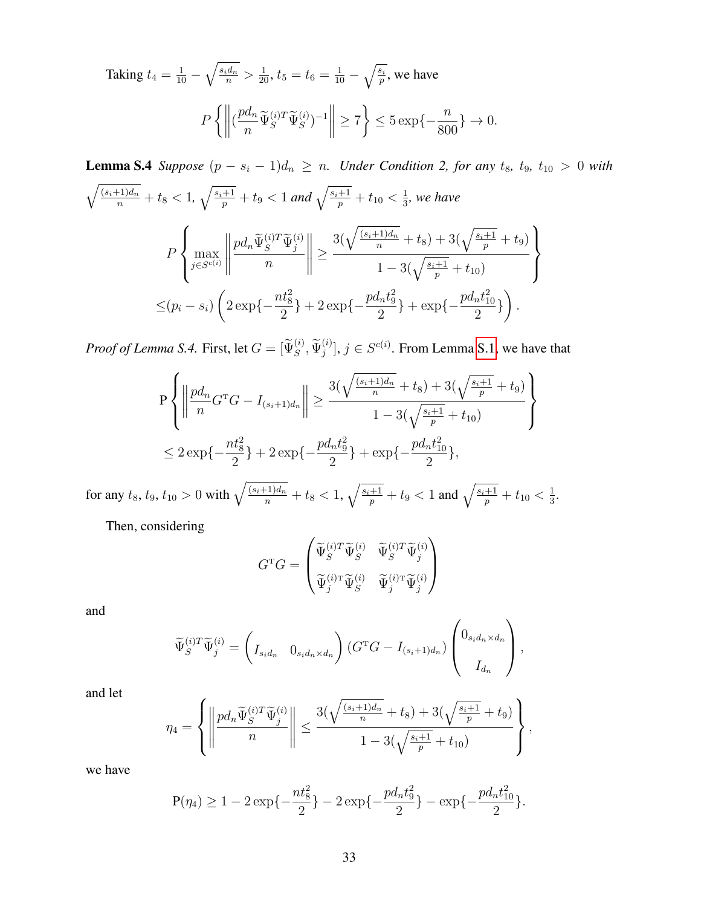Taking 
$$
t_4 = \frac{1}{10} - \sqrt{\frac{s_i d_n}{n}} > \frac{1}{20}
$$
,  $t_5 = t_6 = \frac{1}{10} - \sqrt{\frac{s_i}{p}}$ , we have  
\n
$$
P\left\{ \left\| (\frac{p d_n}{n} \tilde{\Psi}_S^{(i)T} \tilde{\Psi}_S^{(i)})^{-1} \right\| \ge 7 \right\} \le 5 \exp\{-\frac{n}{800}\} \to 0.
$$

**Lemma S.4** *Suppose*  $(p - s_i - 1)d_n \ge n$ *. Under Condition 2, for any*  $t_8$ *,*  $t_9$ *,*  $t_{10} > 0$  *with*  $\sqrt{\frac{(s_i+1)d_n}{n}}+t_8<1$ ,  $\sqrt{\frac{s_i+1}{p}}+t_9<1$  and  $\sqrt{\frac{s_i+1}{p}}+t_{10}<\frac{1}{3}$  $\frac{1}{3}$ , we have P  $\sqrt{ }$  $\int$  $\mathcal{L}$  $\max_{j \in S^{c(i)}}$  $\begin{array}{c} \hline \textbf{1} & \textbf{1} \\ \textbf{2} & \textbf{1} \\ \textbf{3} & \textbf{1} \\ \textbf{4} & \textbf{1} \\ \textbf{5} & \textbf{1} \\ \textbf{6} & \textbf{1} \\ \textbf{7} & \textbf{1} \\ \textbf{8} & \textbf{1} \\ \textbf{9} & \textbf{1} \\ \textbf{10} & \textbf{1} \\ \textbf{11} & \textbf{1} \\ \textbf{12} & \textbf{1} \\ \textbf{13} & \textbf{1} \\ \textbf{16} & \textbf{1} \\ \textbf{17} & \$  $pd_n\widetilde{\Psi}^{(i)T}_S\widetilde{\Psi}^{(i)}_j$ n  $\begin{array}{c} \hline \textbf{1} & \textbf{1} \\ \textbf{2} & \textbf{1} \\ \textbf{3} & \textbf{1} \\ \textbf{4} & \textbf{1} \\ \textbf{5} & \textbf{1} \\ \textbf{6} & \textbf{1} \\ \textbf{7} & \textbf{1} \\ \textbf{8} & \textbf{1} \\ \textbf{9} & \textbf{1} \\ \textbf{10} & \textbf{1} \\ \textbf{11} & \textbf{1} \\ \textbf{12} & \textbf{1} \\ \textbf{13} & \textbf{1} \\ \textbf{16} & \textbf{1} \\ \textbf{17} & \$ ≥  $3(\sqrt{\frac{(s_i+1)d_n}{n}}+t_8)+3(\sqrt{\frac{s_i+1}{p}}+t_9)$  $1-3(\sqrt{\frac{s_i+1}{p}}+t_{10})$  $\mathcal{L}$  $\mathcal{L}$  $\int$  $\leq (p_i - s_i)$  $\int 2 \exp\{-\frac{nt_8^2}{2}\}$ 2 } + 2 exp{ $-\frac{pd_nt_9^2}{2}$ 2 } + exp{ $-\frac{pd_nt_{10}^2}{2}$ 2 }  $\setminus$ .

*Proof of Lemma S.4.* First, let  $G = [\Psi_S^{(i)}, \Psi_j^{(i)}], j \in S^{c(i)}$ . From Lemma [S.1,](#page-30-0) we have that

$$
P\left\{ \left\| \frac{pd_n}{n}G^{\mathrm{T}}G - I_{(s_i+1)d_n} \right\| \ge \frac{3(\sqrt{\frac{(s_i+1)d_n}{n}} + t_8) + 3(\sqrt{\frac{s_i+1}{p}} + t_9)}{1 - 3(\sqrt{\frac{s_i+1}{p}} + t_{10})} \right\}
$$
  

$$
\le 2\exp\{-\frac{nt_8^2}{2}\} + 2\exp\{-\frac{pd_nt_9^2}{2}\} + \exp\{-\frac{pd_nt_{10}^2}{2}\},\
$$

for any  $t_8$ ,  $t_9$ ,  $t_{10} > 0$  with  $\sqrt{\frac{(s_i+1)d_n}{n}} + t_8 < 1$ ,  $\sqrt{\frac{s_i+1}{p}} + t_9 < 1$  and  $\sqrt{\frac{s_i+1}{p}} + t_{10} < \frac{1}{3}$  $\frac{1}{3}$ .

Then, considering

$$
G^{\mathrm{T}}G=\begin{pmatrix} \widetilde{\Psi}_{S}^{(i)T}\widetilde{\Psi}_{S}^{(i)} & \widetilde{\Psi}_{S}^{(i)T}\widetilde{\Psi}_{j}^{(i)} \\ \\ \widetilde{\Psi}_{j}^{(i)\mathrm{T}}\widetilde{\Psi}_{S}^{(i)} & \widetilde{\Psi}_{j}^{(i)\mathrm{T}}\widetilde{\Psi}_{j}^{(i)} \end{pmatrix}
$$

and

$$
\widetilde{\Psi}_{S}^{(i)T}\widetilde{\Psi}_{j}^{(i)} = \left(I_{s_{i}d_{n}} \quad 0_{s_{i}d_{n} \times d_{n}}\right) \left(G^{T}G - I_{(s_{i}+1)d_{n}}\right) \begin{pmatrix} 0_{s_{i}d_{n} \times d_{n}} \\ I_{d_{n}} \end{pmatrix},
$$

and let

$$
\eta_4 = \left\{ \left\| \frac{pd_n \widetilde{\Psi}_S^{(i)T} \widetilde{\Psi}_j^{(i)}}{n} \right\| \le \frac{3(\sqrt{\frac{(s_i+1)d_n}{n}} + t_8) + 3(\sqrt{\frac{s_i+1}{p}} + t_9)}{1 - 3(\sqrt{\frac{s_i+1}{p}} + t_{10})} \right\},\,
$$

we have

$$
P(\eta_4) \ge 1 - 2 \exp\{-\frac{nt_8^2}{2}\} - 2 \exp\{-\frac{pd_nt_9^2}{2}\} - \exp\{-\frac{pd_nt_{10}^2}{2}\}.
$$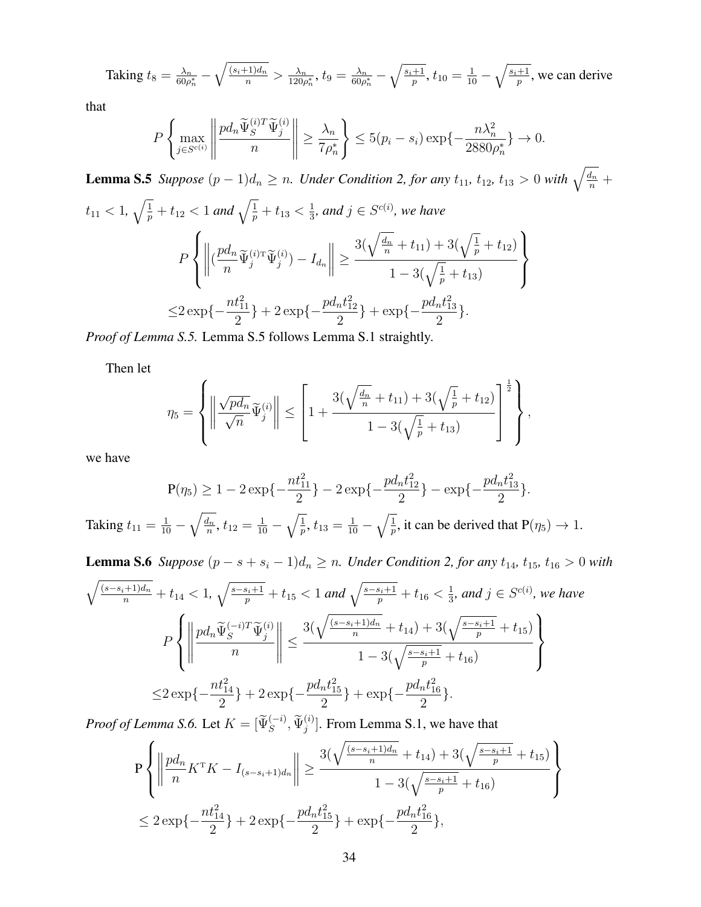Taking 
$$
t_8 = \frac{\lambda_n}{60\rho_n^*} - \sqrt{\frac{(s_i+1)d_n}{n}} > \frac{\lambda_n}{120\rho_n^*}
$$
,  $t_9 = \frac{\lambda_n}{60\rho_n^*} - \sqrt{\frac{s_i+1}{p}}$ ,  $t_{10} = \frac{1}{10} - \sqrt{\frac{s_i+1}{p}}$ , we can derive

that

$$
P\left\{\max_{j\in S^{c(i)}}\left\|\frac{pd_n\widetilde{\Psi}_S^{(i)T}\widetilde{\Psi}_j^{(i)}}{n}\right\| \geq \frac{\lambda_n}{7\rho_n^*}\right\} \leq 5(p_i-s_i)\exp\{-\frac{n\lambda_n^2}{2880\rho_n^*}\}\to 0.
$$

**Lemma S.5** Suppose  $(p-1)d_n \ge n$ . Under Condition 2, for any  $t_{11}$ ,  $t_{12}$ ,  $t_{13} > 0$  with  $\sqrt{\frac{d_n}{n}} +$  $t_{11} < 1, \sqrt{\frac{1}{p}} + t_{12} < 1$  and  $\sqrt{\frac{1}{p}} + t_{13} < \frac{1}{3}$  $\frac{1}{3}$ *, and*  $j \in S^{c(i)}$ *, we have* P  $\sqrt{ }$  $\int$  $\mathcal{L}$  $\begin{tabular}{|c|c|c|c|c|} \hline \quad \quad & \quad \quad & \quad \quad & \quad \quad \\ \hline \quad \quad & \quad \quad & \quad \quad \\ \hline \quad \quad & \quad \quad & \quad \quad \\ \hline \quad \quad & \quad \quad & \quad \quad \\ \hline \end{tabular}$  $\sqrt{\frac{pd_n}{n}}$  $\frac{d u_n}{n} \widetilde{\Psi}_j^{(i)\texttt{T}} \widetilde{\Psi}_j^{(i)} ) - I_{d_n}$  ≥  $3(\sqrt{\frac{d_n}{n}}+t_{11})+3(\sqrt{\frac{1}{p}}+t_{12})$  $1-3(\sqrt{\frac{1}{p}}+t_{13})$  $\mathcal{L}$  $\overline{\mathcal{L}}$  $\int$  $\leq 2 \exp\{-\frac{nt_{11}^2}{2}\}$ 2 } + 2 exp{ $-\frac{pd_nt_{12}^2}{2}$ 2 } + exp{ $-\frac{pd_nt_{13}^2}{2}$ 2 }.

*Proof of Lemma S.5.* Lemma S.5 follows Lemma S.1 straightly.

Then let

$$
\eta_5 = \left\{ \left\| \frac{\sqrt{pd_n}}{\sqrt{n}} \widetilde{\Psi}_j^{(i)} \right\| \le \left[ 1 + \frac{3(\sqrt{\frac{d_n}{n}} + t_{11}) + 3(\sqrt{\frac{1}{p}} + t_{12})}{1 - 3(\sqrt{\frac{1}{p}} + t_{13})} \right]^{\frac{1}{2}} \right\},\,
$$

we have

$$
P(\eta_5) \ge 1 - 2 \exp\left\{-\frac{nt_{11}^2}{2}\right\} - 2 \exp\left\{-\frac{pd_nt_{12}^2}{2}\right\} - \exp\left\{-\frac{pd_nt_{13}^2}{2}\right\}.
$$

Taking  $t_{11} = \frac{1}{10} - \sqrt{\frac{d_n}{n}}$  $\frac{d_n}{n}$ ,  $t_{12} = \frac{1}{10} - \sqrt{\frac{1}{p}}$ ,  $t_{13} = \frac{1}{10} - \sqrt{\frac{1}{p}}$ , it can be derived that  $P(\eta_5) \to 1$ .

**Lemma S.6** *Suppose*  $(p - s + s_i - 1)d_n \ge n$ *. Under Condition 2, for any*  $t_{14}$ *,*  $t_{15}$ *,*  $t_{16} > 0$ *with* 

$$
\sqrt{\frac{(s-s_i+1)d_n}{n}} + t_{14} < 1, \sqrt{\frac{s-s_i+1}{p}} + t_{15} < 1 \text{ and } \sqrt{\frac{s-s_i+1}{p}} + t_{16} < \frac{1}{3}, \text{ and } j \in S^{c(i)}, \text{ we have}
$$
\n
$$
P\left\{ \left\| \frac{pd_n \tilde{\Psi}_S^{(-i)T} \tilde{\Psi}_j^{(i)}}{n} \right\| \le \frac{3(\sqrt{\frac{(s-s_i+1)d_n}{n}} + t_{14}) + 3(\sqrt{\frac{s-s_i+1}{p}} + t_{15})}{1 - 3(\sqrt{\frac{s-s_i+1}{p}} + t_{16})} \right\}
$$
\n
$$
\le 2 \exp\left\{-\frac{nt_{14}^2}{2}\right\} + 2 \exp\left\{-\frac{pd_n t_{15}^2}{2}\right\} + \exp\left\{-\frac{pd_n t_{16}^2}{2}\right\}.
$$

*Proof of Lemma S.6.* Let  $K = [\widetilde{\Psi}_S^{(-i)}, \widetilde{\Psi}_j^{(i)}]$ . From Lemma S.1, we have that

$$
P\left\{ \left\| \frac{pd_n}{n} K^T K - I_{(s-s_i+1)d_n} \right\| \ge \frac{3(\sqrt{\frac{(s-s_i+1)d_n}{n}} + t_{14}) + 3(\sqrt{\frac{s-s_i+1}{p}} + t_{15})}{1 - 3(\sqrt{\frac{s-s_i+1}{p}} + t_{16})} \right\}
$$
  

$$
\le 2 \exp\left\{-\frac{nt_{14}^2}{2}\right\} + 2 \exp\left\{-\frac{pd_n t_{15}^2}{2}\right\} + \exp\left\{-\frac{pd_n t_{16}^2}{2}\right\},\
$$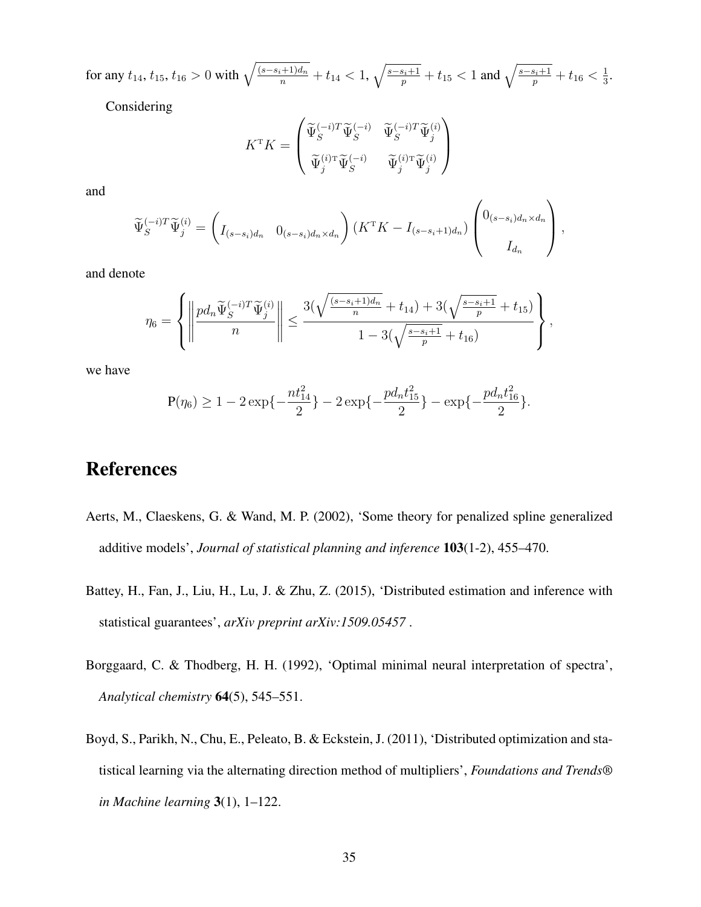for any  $t_{14}$ ,  $t_{15}$ ,  $t_{16} > 0$  with  $\sqrt{\frac{(s-s_i+1)d_n}{n}} + t_{14} < 1$ ,  $\sqrt{\frac{s-s_i+1}{p}} + t_{15} < 1$  and  $\sqrt{\frac{s-s_i+1}{p}} + t_{16} < \frac{1}{3}$  $\frac{1}{3}$ .

Considering

$$
K^{\mathrm{T}} K = \begin{pmatrix} \widetilde{\Psi}_{S}^{(-i)T} \widetilde{\Psi}_{S}^{(-i)} & \widetilde{\Psi}_{S}^{(-i)T} \widetilde{\Psi}_{j}^{(i)} \\ \widetilde{\Psi}_{j}^{(i)\mathrm{T}} \widetilde{\Psi}_{S}^{(-i)} & \widetilde{\Psi}_{j}^{(i)\mathrm{T}} \widetilde{\Psi}_{j}^{(i)} \end{pmatrix}
$$

and

$$
\widetilde{\Psi}_{S}^{(-i)T}\widetilde{\Psi}_{j}^{(i)} = \left(I_{(s-s_i)d_n} \quad 0_{(s-s_i)d_n \times d_n}\right) \left(K^{\mathrm{T}}K - I_{(s-s_i+1)d_n}\right) \begin{pmatrix} 0_{(s-s_i)d_n \times d_n} \\ I_{d_n} \end{pmatrix},
$$

and denote

$$
\eta_6 = \left\{ \left\| \frac{pd_n \widetilde{\Psi}_S^{(-i)T} \widetilde{\Psi}_j^{(i)}}{n} \right\| \le \frac{3(\sqrt{\frac{(s-s_i+1)d_n}{n}} + t_{14}) + 3(\sqrt{\frac{s-s_i+1}{p}} + t_{15})}{1 - 3(\sqrt{\frac{s-s_i+1}{p}} + t_{16})} \right\},\,
$$

we have

$$
\mathbf{P}(\eta_6) \ge 1 - 2\exp\{-\frac{nt_{14}^2}{2}\} - 2\exp\{-\frac{pd_nt_{15}^2}{2}\} - \exp\{-\frac{pd_nt_{16}^2}{2}\}.
$$

### References

- <span id="page-34-2"></span>Aerts, M., Claeskens, G. & Wand, M. P. (2002), 'Some theory for penalized spline generalized additive models', *Journal of statistical planning and inference* 103(1-2), 455–470.
- <span id="page-34-1"></span>Battey, H., Fan, J., Liu, H., Lu, J. & Zhu, Z. (2015), 'Distributed estimation and inference with statistical guarantees', *arXiv preprint arXiv:1509.05457* .
- <span id="page-34-3"></span>Borggaard, C. & Thodberg, H. H. (1992), 'Optimal minimal neural interpretation of spectra', *Analytical chemistry* 64(5), 545–551.
- <span id="page-34-0"></span>Boyd, S., Parikh, N., Chu, E., Peleato, B. & Eckstein, J. (2011), 'Distributed optimization and statistical learning via the alternating direction method of multipliers', *Foundations and Trends® in Machine learning* 3(1), 1–122.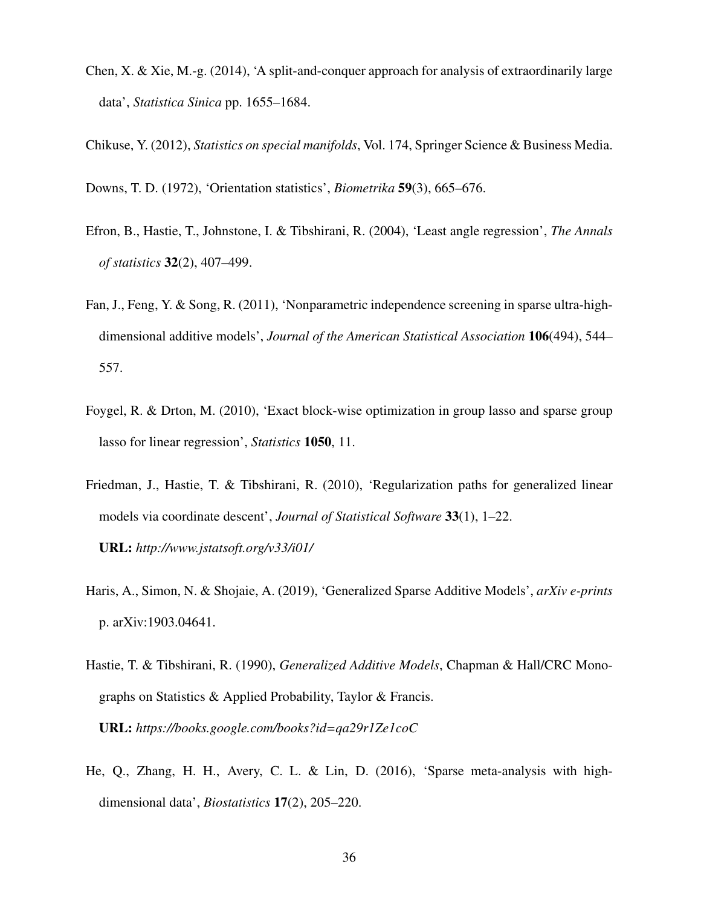- <span id="page-35-0"></span>Chen, X. & Xie, M.-g. (2014), 'A split-and-conquer approach for analysis of extraordinarily large data', *Statistica Sinica* pp. 1655–1684.
- <span id="page-35-7"></span>Chikuse, Y. (2012), *Statistics on special manifolds*, Vol. 174, Springer Science & Business Media.
- <span id="page-35-6"></span><span id="page-35-3"></span>Downs, T. D. (1972), 'Orientation statistics', *Biometrika* 59(3), 665–676.
- Efron, B., Hastie, T., Johnstone, I. & Tibshirani, R. (2004), 'Least angle regression', *The Annals of statistics* 32(2), 407–499.
- <span id="page-35-9"></span>Fan, J., Feng, Y. & Song, R. (2011), 'Nonparametric independence screening in sparse ultra-highdimensional additive models', *Journal of the American Statistical Association* 106(494), 544– 557.
- <span id="page-35-5"></span>Foygel, R. & Drton, M. (2010), 'Exact block-wise optimization in group lasso and sparse group lasso for linear regression', *Statistics* 1050, 11.
- <span id="page-35-8"></span>Friedman, J., Hastie, T. & Tibshirani, R. (2010), 'Regularization paths for generalized linear models via coordinate descent', *Journal of Statistical Software* 33(1), 1–22. URL: *http://www.jstatsoft.org/v33/i01/*
- <span id="page-35-2"></span>Haris, A., Simon, N. & Shojaie, A. (2019), 'Generalized Sparse Additive Models', *arXiv e-prints* p. arXiv:1903.04641.
- <span id="page-35-4"></span>Hastie, T. & Tibshirani, R. (1990), *Generalized Additive Models*, Chapman & Hall/CRC Monographs on Statistics & Applied Probability, Taylor & Francis. URL: *https://books.google.com/books?id=qa29r1Ze1coC*
- <span id="page-35-1"></span>He, Q., Zhang, H. H., Avery, C. L. & Lin, D. (2016), 'Sparse meta-analysis with highdimensional data', *Biostatistics* 17(2), 205–220.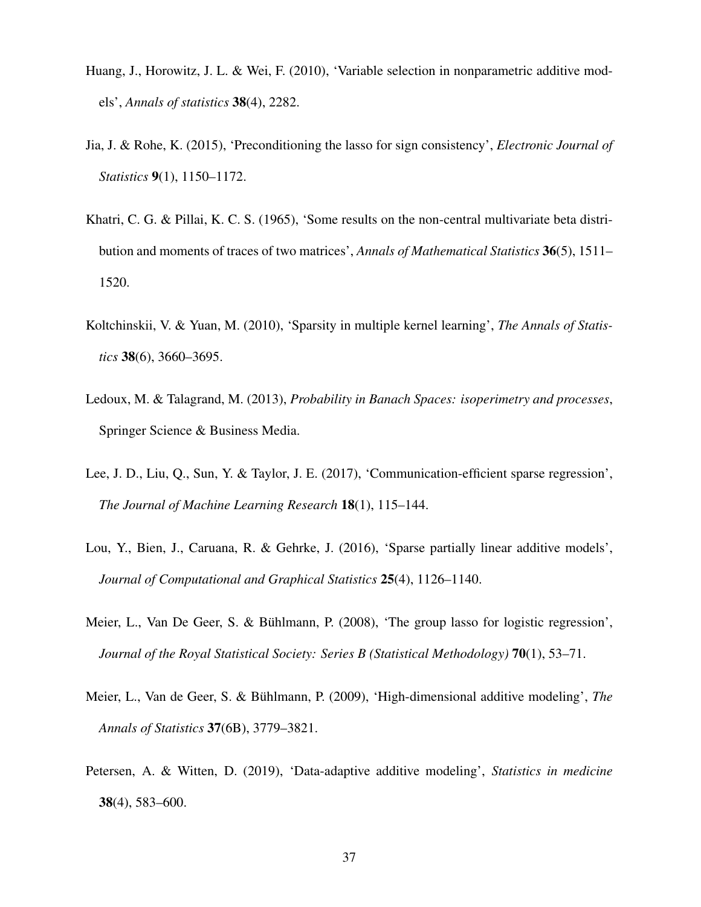- <span id="page-36-3"></span>Huang, J., Horowitz, J. L. & Wei, F. (2010), 'Variable selection in nonparametric additive models', *Annals of statistics* 38(4), 2282.
- <span id="page-36-6"></span>Jia, J. & Rohe, K. (2015), 'Preconditioning the lasso for sign consistency', *Electronic Journal of Statistics* 9(1), 1150–1172.
- <span id="page-36-8"></span>Khatri, C. G. & Pillai, K. C. S. (1965), 'Some results on the non-central multivariate beta distribution and moments of traces of two matrices', *Annals of Mathematical Statistics* 36(5), 1511– 1520.
- <span id="page-36-2"></span>Koltchinskii, V. & Yuan, M. (2010), 'Sparsity in multiple kernel learning', *The Annals of Statistics* 38(6), 3660–3695.
- <span id="page-36-9"></span>Ledoux, M. & Talagrand, M. (2013), *Probability in Banach Spaces: isoperimetry and processes*, Springer Science & Business Media.
- <span id="page-36-0"></span>Lee, J. D., Liu, Q., Sun, Y. & Taylor, J. E. (2017), 'Communication-efficient sparse regression', *The Journal of Machine Learning Research* 18(1), 115–144.
- <span id="page-36-4"></span>Lou, Y., Bien, J., Caruana, R. & Gehrke, J. (2016), 'Sparse partially linear additive models', *Journal of Computational and Graphical Statistics* 25(4), 1126–1140.
- <span id="page-36-7"></span>Meier, L., Van De Geer, S. & Bühlmann, P. (2008), 'The group lasso for logistic regression', *Journal of the Royal Statistical Society: Series B (Statistical Methodology)* 70(1), 53–71.
- <span id="page-36-1"></span>Meier, L., Van de Geer, S. & Bühlmann, P. (2009), 'High-dimensional additive modeling', *The Annals of Statistics* 37(6B), 3779–3821.
- <span id="page-36-5"></span>Petersen, A. & Witten, D. (2019), 'Data-adaptive additive modeling', *Statistics in medicine* 38(4), 583–600.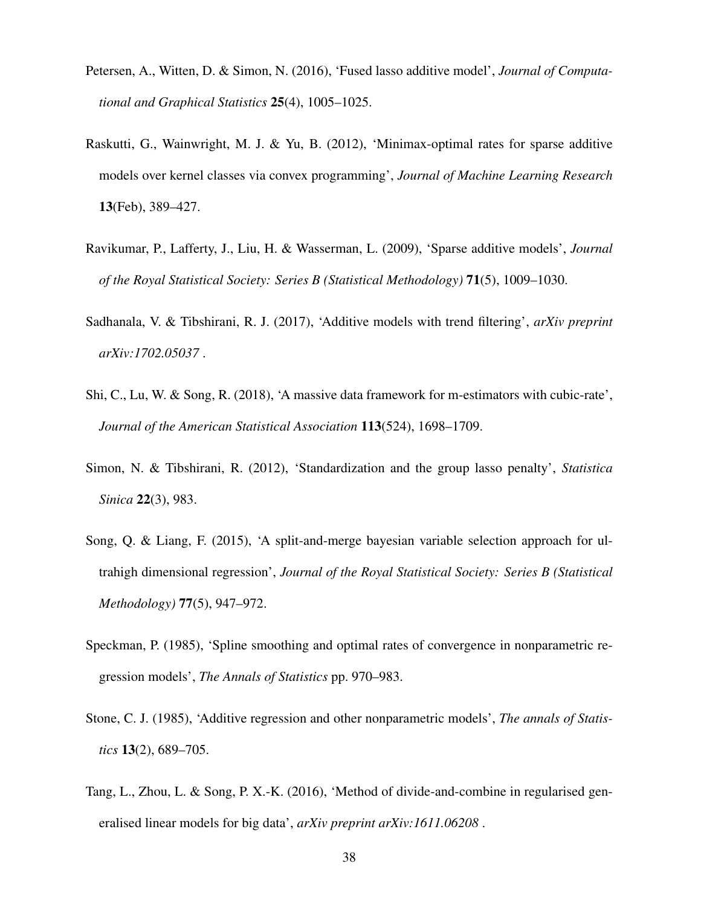- <span id="page-37-5"></span>Petersen, A., Witten, D. & Simon, N. (2016), 'Fused lasso additive model', *Journal of Computational and Graphical Statistics* 25(4), 1005–1025.
- <span id="page-37-4"></span>Raskutti, G., Wainwright, M. J. & Yu, B. (2012), 'Minimax-optimal rates for sparse additive models over kernel classes via convex programming', *Journal of Machine Learning Research* 13(Feb), 389–427.
- <span id="page-37-3"></span>Ravikumar, P., Lafferty, J., Liu, H. & Wasserman, L. (2009), 'Sparse additive models', *Journal of the Royal Statistical Society: Series B (Statistical Methodology)* 71(5), 1009–1030.
- <span id="page-37-6"></span>Sadhanala, V. & Tibshirani, R. J. (2017), 'Additive models with trend filtering', *arXiv preprint arXiv:1702.05037* .
- <span id="page-37-1"></span>Shi, C., Lu, W. & Song, R. (2018), 'A massive data framework for m-estimators with cubic-rate', *Journal of the American Statistical Association* 113(524), 1698–1709.
- <span id="page-37-8"></span>Simon, N. & Tibshirani, R. (2012), 'Standardization and the group lasso penalty', *Statistica Sinica* 22(3), 983.
- <span id="page-37-7"></span>Song, Q. & Liang, F. (2015), 'A split-and-merge bayesian variable selection approach for ultrahigh dimensional regression', *Journal of the Royal Statistical Society: Series B (Statistical Methodology)* 77(5), 947–972.
- <span id="page-37-9"></span>Speckman, P. (1985), 'Spline smoothing and optimal rates of convergence in nonparametric regression models', *The Annals of Statistics* pp. 970–983.
- <span id="page-37-2"></span>Stone, C. J. (1985), 'Additive regression and other nonparametric models', *The annals of Statistics* 13(2), 689–705.
- <span id="page-37-0"></span>Tang, L., Zhou, L. & Song, P. X.-K. (2016), 'Method of divide-and-combine in regularised generalised linear models for big data', *arXiv preprint arXiv:1611.06208* .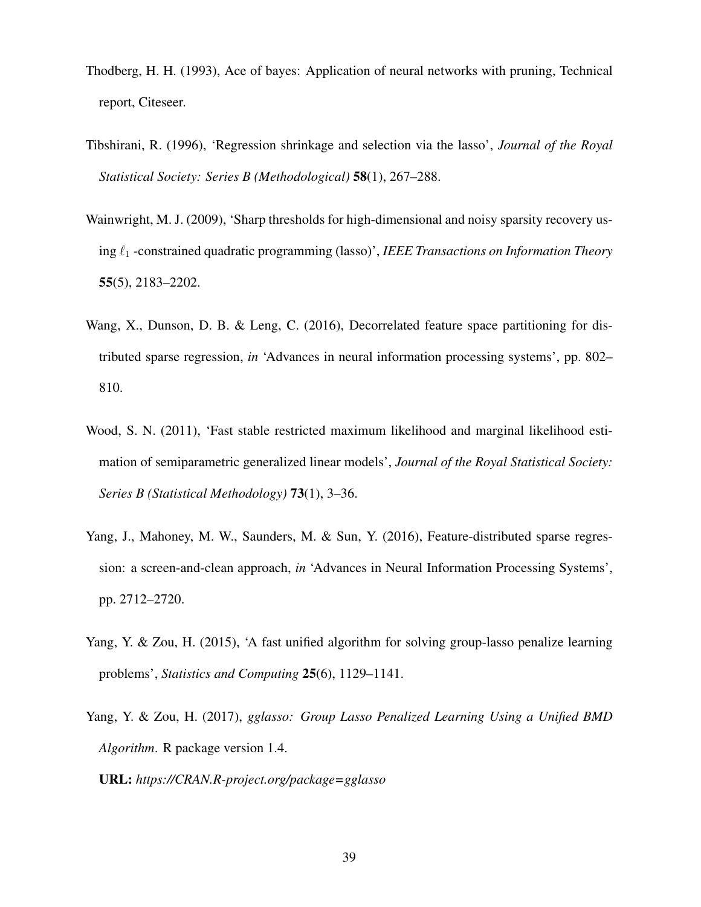- <span id="page-38-6"></span>Thodberg, H. H. (1993), Ace of bayes: Application of neural networks with pruning, Technical report, Citeseer.
- <span id="page-38-2"></span>Tibshirani, R. (1996), 'Regression shrinkage and selection via the lasso', *Journal of the Royal Statistical Society: Series B (Methodological)* 58(1), 267–288.
- <span id="page-38-7"></span>Wainwright, M. J. (2009), 'Sharp thresholds for high-dimensional and noisy sparsity recovery using  $\ell_1$  -constrained quadratic programming (lasso)', *IEEE Transactions on Information Theory* 55(5), 2183–2202.
- <span id="page-38-1"></span>Wang, X., Dunson, D. B. & Leng, C. (2016), Decorrelated feature space partitioning for distributed sparse regression, *in* 'Advances in neural information processing systems', pp. 802– 810.
- <span id="page-38-3"></span>Wood, S. N. (2011), 'Fast stable restricted maximum likelihood and marginal likelihood estimation of semiparametric generalized linear models', *Journal of the Royal Statistical Society: Series B (Statistical Methodology)* 73(1), 3–36.
- <span id="page-38-0"></span>Yang, J., Mahoney, M. W., Saunders, M. & Sun, Y. (2016), Feature-distributed sparse regression: a screen-and-clean approach, *in* 'Advances in Neural Information Processing Systems', pp. 2712–2720.
- <span id="page-38-4"></span>Yang, Y. & Zou, H. (2015), 'A fast unified algorithm for solving group-lasso penalize learning problems', *Statistics and Computing* 25(6), 1129–1141.
- <span id="page-38-5"></span>Yang, Y. & Zou, H. (2017), *gglasso: Group Lasso Penalized Learning Using a Unified BMD Algorithm*. R package version 1.4.

URL: *https://CRAN.R-project.org/package=gglasso*